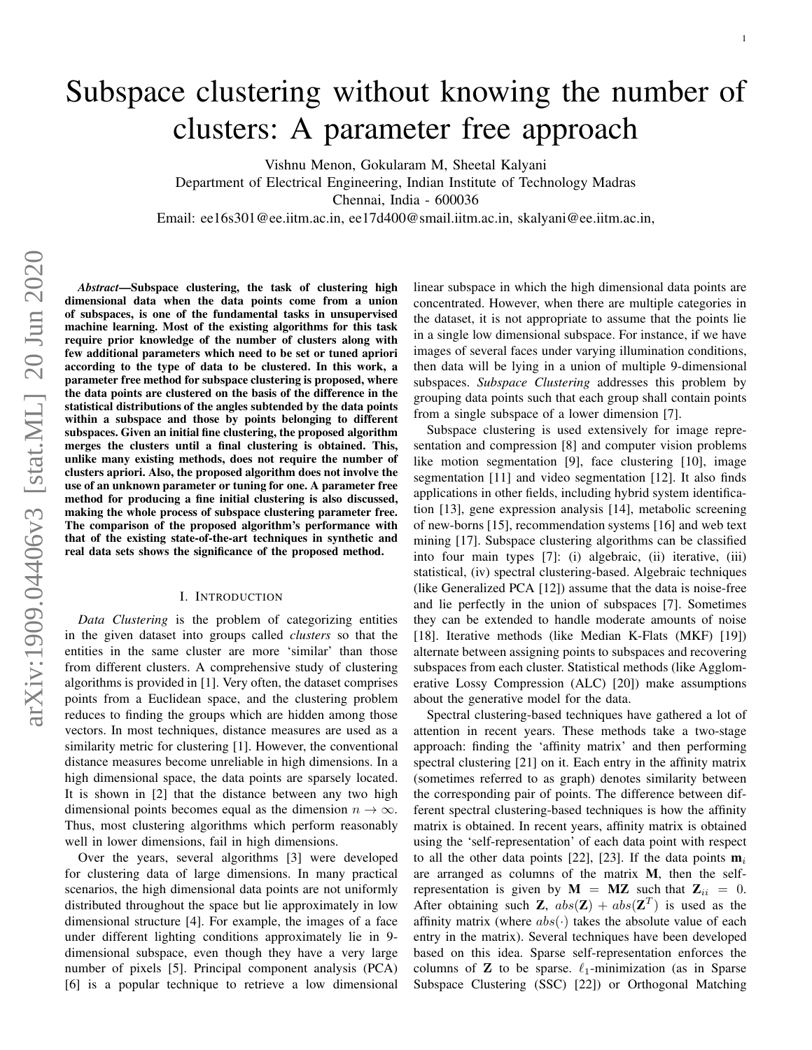# Subspace clustering without knowing the number of clusters: A parameter free approach

Vishnu Menon, Gokularam M, Sheetal Kalyani

Department of Electrical Engineering, Indian Institute of Technology Madras

Chennai, India - 600036

Email: ee16s301@ee.iitm.ac.in, ee17d400@smail.iitm.ac.in, skalyani@ee.iitm.ac.in,

*Abstract*—Subspace clustering, the task of clustering high dimensional data when the data points come from a union of subspaces, is one of the fundamental tasks in unsupervise d machine learning. Most of the existing algorithms for this task require prior knowledge of the number of clusters along with few additional parameters which need to be set or tuned apriori according to the type of data to be clustered. In this work, a parameter free method for subspace clustering is proposed, where the data points are clustered on the basis of the difference in the statistical distributions of the angles subtended by the data points within a subspace and those by points belonging to different subspaces. Given an initial fine clustering, the proposed algorithm merges the clusters until a final clustering is obtained. This, unlike many existing methods, does not require the number of clusters apriori. Also, the proposed algorithm does not involve the use of an unknown parameter or tuning for one. A parameter fre e method for producing a fine initial clustering is also discussed, making the whole process of subspace clustering parameter free. The comparison of the proposed algorithm's performance wit h that of the existing state-of-the-art techniques in synthetic and real data sets shows the significance of the proposed method.

## I. INTRODUCTION

*Data Clustering* is the problem of categorizing entities in the given dataset into groups called *clusters* so that the entities in the same cluster are more 'similar' than those from different clusters. A comprehensive study of clustering algorithms is provided in [1]. Very often, the dataset comprises points from a Euclidean space, and the clustering problem reduces to finding the groups which are hidden among those vectors. In most techniques, distance measures are used as a similarity metric for clustering [1]. However, the conventional distance measures become unreliable in high dimensions. In a high dimensional space, the data points are sparsely located. It is shown in [2] that the distance between any two high dimensional points becomes equal as the dimension  $n \to \infty$ . Thus, most clustering algorithms which perform reasonably well in lower dimensions, fail in high dimensions.

Over the years, several algorithms [3] were developed for clustering data of large dimensions. In many practical scenarios, the high dimensional data points are not uniformly distributed throughout the space but lie approximately in low dimensional structure [4]. For example, the images of a face under different lighting conditions approximately lie in 9 dimensional subspace, even though they have a very large number of pixels [5]. Principal component analysis (PCA) [6] is a popular technique to retrieve a low dimensional

linear subspace in which the high dimensional data points ar e concentrated. However, when there are multiple categories in the dataset, it is not appropriate to assume that the points lie in a single low dimensional subspace. For instance, if we hav e images of several faces under varying illumination conditions, then data will be lying in a union of multiple 9-dimensional subspaces. *Subspace Clustering* addresses this problem by grouping data points such that each group shall contain points from a single subspace of a lower dimension [7].

Subspace clustering is used extensively for image representation and compression [8] and computer vision problems like motion segmentation [9], face clustering [10], image segmentation [11] and video segmentation [12]. It also finds applications in other fields, including hybrid system identification [13], gene expression analysis [14], metabolic screening of new-borns [15], recommendation systems [16] and web text mining [17]. Subspace clustering algorithms can be classified into four main types [7]: (i) algebraic, (ii) iterative, (iii) statistical, (iv) spectral clustering-based. Algebraic techniques (like Generalized PCA [12]) assume that the data is noise-free and lie perfectly in the union of subspaces [7]. Sometimes they can be extended to handle moderate amounts of noise [18]. Iterative methods (like Median K-Flats (MKF) [19]) alternate between assigning points to subspaces and recovering subspaces from each cluster. Statistical methods (like Agglomerative Lossy Compression (ALC) [20]) make assumptions about the generative model for the data.

Spectral clustering-based techniques have gathered a lot o f attention in recent years. These methods take a two-stage approach: finding the 'affinity matrix' and then performing spectral clustering [21] on it. Each entry in the affinity matrix (sometimes referred to as graph) denotes similarity betwee n the corresponding pair of points. The difference between different spectral clustering-based techniques is how the affinity matrix is obtained. In recent years, affinity matrix is obtained using the 'self-representation' of each data point with respect to all the other data points [22], [23]. If the data points  $\mathbf{m}_i$ are arranged as columns of the matrix M, then the selfrepresentation is given by  $M = MZ$  such that  $Z_{ii} = 0$ . After obtaining such **Z**,  $abs(\mathbf{Z}) + abs(\mathbf{Z}^T)$  is used as the affinity matrix (where  $abs(\cdot)$  takes the absolute value of each entry in the matrix). Several techniques have been develope d based on this idea. Sparse self-representation enforces th e columns of **Z** to be sparse.  $\ell_1$ -minimization (as in Sparse Subspace Clustering (SSC) [22]) or Orthogonal Matching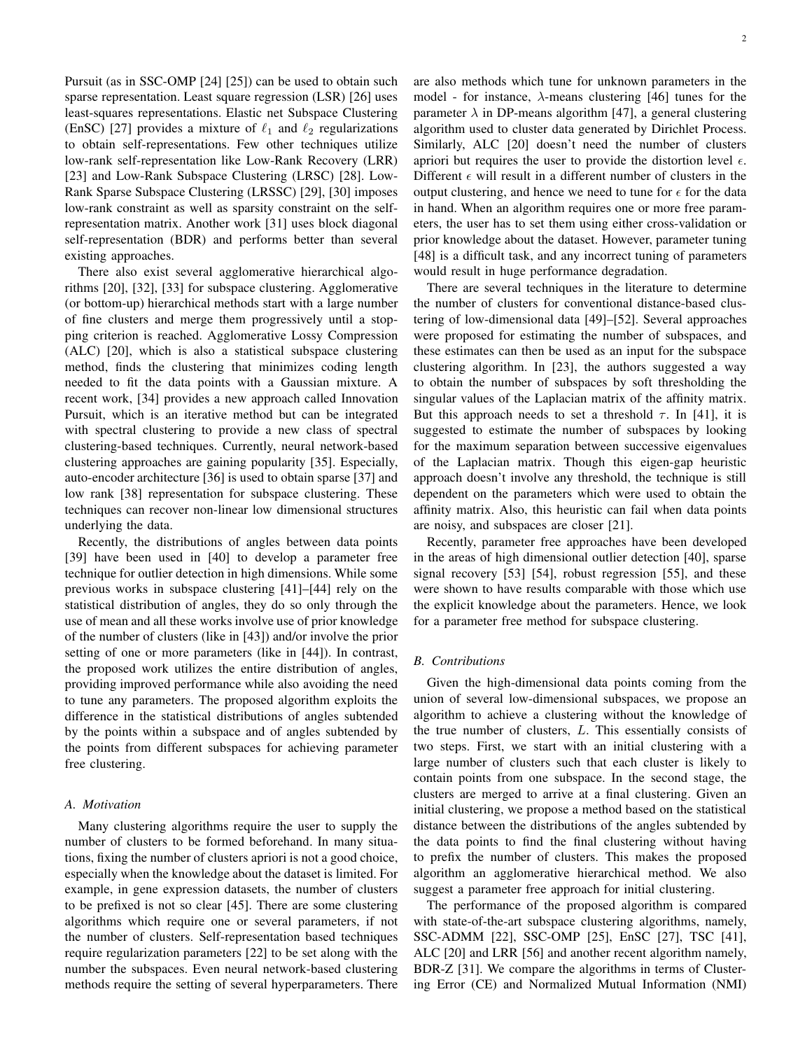Pursuit (as in SSC-OMP [24] [25]) can be used to obtain such sparse representation. Least square regression (LSR) [26] uses least-squares representations. Elastic net Subspace Clustering (EnSC) [27] provides a mixture of  $\ell_1$  and  $\ell_2$  regularizations to obtain self-representations. Few other techniques utilize low-rank self-representation like Low-Rank Recovery (LRR) [23] and Low-Rank Subspace Clustering (LRSC) [28]. Low-Rank Sparse Subspace Clustering (LRSSC) [29], [30] imposes low-rank constraint as well as sparsity constraint on the selfrepresentation matrix. Another work [31] uses block diagonal self-representation (BDR) and performs better than several existing approaches.

There also exist several agglomerative hierarchical algorithms [20], [32], [33] for subspace clustering. Agglomerative (or bottom-up) hierarchical methods start with a large number of fine clusters and merge them progressively until a stopping criterion is reached. Agglomerative Lossy Compression (ALC) [20], which is also a statistical subspace clustering method, finds the clustering that minimizes coding length needed to fit the data points with a Gaussian mixture. A recent work, [34] provides a new approach called Innovation Pursuit, which is an iterative method but can be integrated with spectral clustering to provide a new class of spectral clustering-based techniques. Currently, neural network-based clustering approaches are gaining popularity [35]. Especially, auto-encoder architecture [36] is used to obtain sparse [37] and low rank [38] representation for subspace clustering. These techniques can recover non-linear low dimensional structures underlying the data.

Recently, the distributions of angles between data points [39] have been used in [40] to develop a parameter free technique for outlier detection in high dimensions. While some previous works in subspace clustering [41]–[44] rely on the statistical distribution of angles, they do so only through the use of mean and all these works involve use of prior knowledge of the number of clusters (like in [43]) and/or involve the prior setting of one or more parameters (like in [44]). In contrast, the proposed work utilizes the entire distribution of angles, providing improved performance while also avoiding the need to tune any parameters. The proposed algorithm exploits the difference in the statistical distributions of angles subtended by the points within a subspace and of angles subtended by the points from different subspaces for achieving parameter free clustering.

#### *A. Motivation*

Many clustering algorithms require the user to supply the number of clusters to be formed beforehand. In many situations, fixing the number of clusters apriori is not a good choice, especially when the knowledge about the dataset is limited. For example, in gene expression datasets, the number of clusters to be prefixed is not so clear [45]. There are some clustering algorithms which require one or several parameters, if not the number of clusters. Self-representation based techniques require regularization parameters [22] to be set along with the number the subspaces. Even neural network-based clustering methods require the setting of several hyperparameters. There

are also methods which tune for unknown parameters in the model - for instance,  $\lambda$ -means clustering [46] tunes for the parameter  $\lambda$  in DP-means algorithm [47], a general clustering algorithm used to cluster data generated by Dirichlet Process. Similarly, ALC [20] doesn't need the number of clusters apriori but requires the user to provide the distortion level  $\epsilon$ . Different  $\epsilon$  will result in a different number of clusters in the output clustering, and hence we need to tune for  $\epsilon$  for the data in hand. When an algorithm requires one or more free parameters, the user has to set them using either cross-validation or prior knowledge about the dataset. However, parameter tuning [48] is a difficult task, and any incorrect tuning of parameters would result in huge performance degradation.

There are several techniques in the literature to determine the number of clusters for conventional distance-based clustering of low-dimensional data [49]–[52]. Several approaches were proposed for estimating the number of subspaces, and these estimates can then be used as an input for the subspace clustering algorithm. In [23], the authors suggested a way to obtain the number of subspaces by soft thresholding the singular values of the Laplacian matrix of the affinity matrix. But this approach needs to set a threshold  $\tau$ . In [41], it is suggested to estimate the number of subspaces by looking for the maximum separation between successive eigenvalues of the Laplacian matrix. Though this eigen-gap heuristic approach doesn't involve any threshold, the technique is still dependent on the parameters which were used to obtain the affinity matrix. Also, this heuristic can fail when data points are noisy, and subspaces are closer [21].

Recently, parameter free approaches have been developed in the areas of high dimensional outlier detection [40], sparse signal recovery [53] [54], robust regression [55], and these were shown to have results comparable with those which use the explicit knowledge about the parameters. Hence, we look for a parameter free method for subspace clustering.

#### *B. Contributions*

Given the high-dimensional data points coming from the union of several low-dimensional subspaces, we propose an algorithm to achieve a clustering without the knowledge of the true number of clusters, L. This essentially consists of two steps. First, we start with an initial clustering with a large number of clusters such that each cluster is likely to contain points from one subspace. In the second stage, the clusters are merged to arrive at a final clustering. Given an initial clustering, we propose a method based on the statistical distance between the distributions of the angles subtended by the data points to find the final clustering without having to prefix the number of clusters. This makes the proposed algorithm an agglomerative hierarchical method. We also suggest a parameter free approach for initial clustering.

The performance of the proposed algorithm is compared with state-of-the-art subspace clustering algorithms, namely, SSC-ADMM [22], SSC-OMP [25], EnSC [27], TSC [41], ALC [20] and LRR [56] and another recent algorithm namely, BDR-Z [31]. We compare the algorithms in terms of Clustering Error (CE) and Normalized Mutual Information (NMI)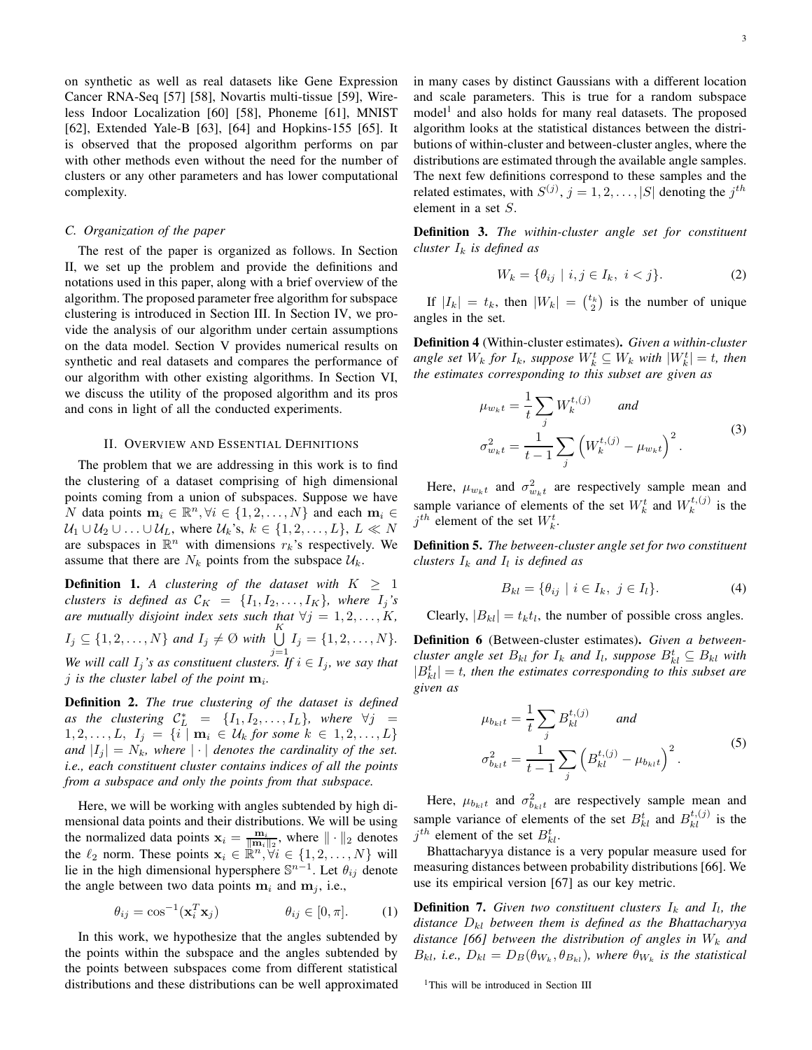on synthetic as well as real datasets like Gene Expression Cancer RNA-Seq [57] [58], Novartis multi-tissue [59], Wireless Indoor Localization [60] [58], Phoneme [61], MNIST [62], Extended Yale-B [63], [64] and Hopkins-155 [65]. It is observed that the proposed algorithm performs on par with other methods even without the need for the number of clusters or any other parameters and has lower computational complexity.

#### *C. Organization of the paper*

The rest of the paper is organized as follows. In Section II, we set up the problem and provide the definitions and notations used in this paper, along with a brief overview of the algorithm. The proposed parameter free algorithm for subspace clustering is introduced in Section III. In Section IV, we provide the analysis of our algorithm under certain assumptions on the data model. Section V provides numerical results on synthetic and real datasets and compares the performance of our algorithm with other existing algorithms. In Section VI, we discuss the utility of the proposed algorithm and its pros and cons in light of all the conducted experiments.

## II. OVERVIEW AND ESSENTIAL DEFINITIONS

The problem that we are addressing in this work is to find the clustering of a dataset comprising of high dimensional points coming from a union of subspaces. Suppose we have N data points  $\mathbf{m}_i \in \mathbb{R}^n, \forall i \in \{1, 2, ..., N\}$  and each  $\mathbf{m}_i \in$  $U_1 \cup U_2 \cup \ldots \cup U_L$ , where  $U_k$ 's,  $k \in \{1, 2, \ldots, L\}$ ,  $L \ll N$ are subspaces in  $\mathbb{R}^n$  with dimensions  $r_k$ 's respectively. We assume that there are  $N_k$  points from the subspace  $\mathcal{U}_k$ .

**Definition 1.** A clustering of the dataset with  $K \geq 1$ *clusters is defined as*  $C_K = \{I_1, I_2, \ldots, I_K\}$ *, where*  $I_j$ 's *are mutually disjoint index sets such that*  $\forall j = 1, 2, \ldots, K$ ,  $I_j \subseteq \{1, 2, \ldots, N\}$  and  $I_j \neq \emptyset$  with  $\bigcup_{i=1}^K$  $\bigcup_{j=1} I_j = \{1, 2, \ldots, N\}.$ *We will call*  $I_j$ 's as constituent clusters. If  $i \in I_j$ , we say that *j* is the cluster label of the point  $m_i$ .

Definition 2. *The true clustering of the dataset is defined as the clustering*  $C_L^* = \{I_1, I_2, \ldots, I_L\}$ *, where*  $\forall j =$ 1, 2, ..., L,  $I_j = \{i \mid \mathbf{m}_i \in \mathcal{U}_k \text{ for some } k \in 1, 2, ..., L\}$ *and*  $|I_j| = N_k$ *, where*  $|\cdot|$  *denotes the cardinality of the set. i.e., each constituent cluster contains indices of all the points from a subspace and only the points from that subspace.*

Here, we will be working with angles subtended by high dimensional data points and their distributions. We will be using the normalized data points  $\mathbf{x}_i = \frac{\mathbf{m}_i}{\|\mathbf{m}_i\|_2}$ , where  $\|\cdot\|_2$  denotes the  $\ell_2$  norm. These points  $\mathbf{x}_i \in \mathbb{R}^n, \forall i \in \{1, 2, ..., N\}$  will lie in the high dimensional hypersphere  $\mathbb{S}^{n-1}$ . Let  $\theta_{ij}$  denote the angle between two data points  $m_i$  and  $m_j$ , i.e.,

$$
\theta_{ij} = \cos^{-1}(\mathbf{x}_i^T \mathbf{x}_j) \qquad \theta_{ij} \in [0, \pi]. \qquad (1)
$$

In this work, we hypothesize that the angles subtended by the points within the subspace and the angles subtended by the points between subspaces come from different statistical distributions and these distributions can be well approximated in many cases by distinct Gaussians with a different location and scale parameters. This is true for a random subspace model<sup>1</sup> and also holds for many real datasets. The proposed algorithm looks at the statistical distances between the distributions of within-cluster and between-cluster angles, where the distributions are estimated through the available angle samples. The next few definitions correspond to these samples and the related estimates, with  $S^{(j)}$ ,  $j = 1, 2, ..., |S|$  denoting the  $j<sup>th</sup>$ element in a set S.

Definition 3. *The within-cluster angle set for constituent cluster*  $I_k$  *is defined as* 

$$
W_k = \{ \theta_{ij} \mid i, j \in I_k, i < j \}. \tag{2}
$$

If  $|I_k| = t_k$ , then  $|W_k| = \binom{t_k}{2}$  is the number of unique angles in the set.

Definition 4 (Within-cluster estimates). *Given a within-cluster angle set*  $W_k$  *for*  $I_k$ *, suppose*  $W_k^t \subseteq W_k$  *with*  $|W_k^t| = t$ *, then the estimates corresponding to this subset are given as*

$$
\mu_{w_k t} = \frac{1}{t} \sum_j W_k^{t,(j)} \quad \text{and}
$$

$$
\sigma_{w_k t}^2 = \frac{1}{t-1} \sum_j \left( W_k^{t,(j)} - \mu_{w_k t} \right)^2.
$$
 (3)

Here,  $\mu_{w_k t}$  and  $\sigma_{w_k t}^2$  are respectively sample mean and sample variance of elements of the set  $W_k^t$  and  $W_k^{t,(j)}$  $\kappa^{(i)}$  is the  $j^{th}$  element of the set  $W_k^t$ .

Definition 5. *The between-cluster angle set for two constituent clusters* I<sup>k</sup> *and* I<sup>l</sup> *is defined as*

$$
B_{kl} = \{ \theta_{ij} \mid i \in I_k, j \in I_l \}. \tag{4}
$$

Clearly,  $|B_{kl}| = t_k t_l$ , the number of possible cross angles.

Definition 6 (Between-cluster estimates). *Given a betweencluster angle set*  $B_{kl}$  *for*  $I_k$  *and*  $I_l$ *, suppose*  $B_{kl}^t \subseteq B_{kl}$  *with*  $|B_{kl}^t| = t$ , then the estimates corresponding to this subset are *given as*

$$
\mu_{b_{kl}t} = \frac{1}{t} \sum_{j} B_{kl}^{t,(j)} \quad \text{and}
$$

$$
\sigma_{b_{kl}t}^{2} = \frac{1}{t-1} \sum_{j} \left( B_{kl}^{t,(j)} - \mu_{b_{kl}t} \right)^{2}.
$$
 (5)

Here,  $\mu_{b_{kl}t}$  and  $\sigma_{b_{kl}t}^2$  are respectively sample mean and sample variance of elements of the set  $B_{kl}^{t}$  and  $B_{kl}^{t,(j)}$  is the  $j^{th}$  element of the set  $B_{kl}^{t}$ .

Bhattacharyya distance is a very popular measure used for measuring distances between probability distributions [66]. We use its empirical version [67] as our key metric.

**Definition 7.** Given two constituent clusters  $I_k$  and  $I_l$ , the *distance* Dkl *between them is defined as the Bhattacharyya distance [66] between the distribution of angles in* W<sup>k</sup> *and*  $B_{kl}$ , i.e.,  $D_{kl} = D_B(\theta_{W_k}, \theta_{B_{kl}})$ , where  $\theta_{W_k}$  is the statistical

<sup>1</sup>This will be introduced in Section III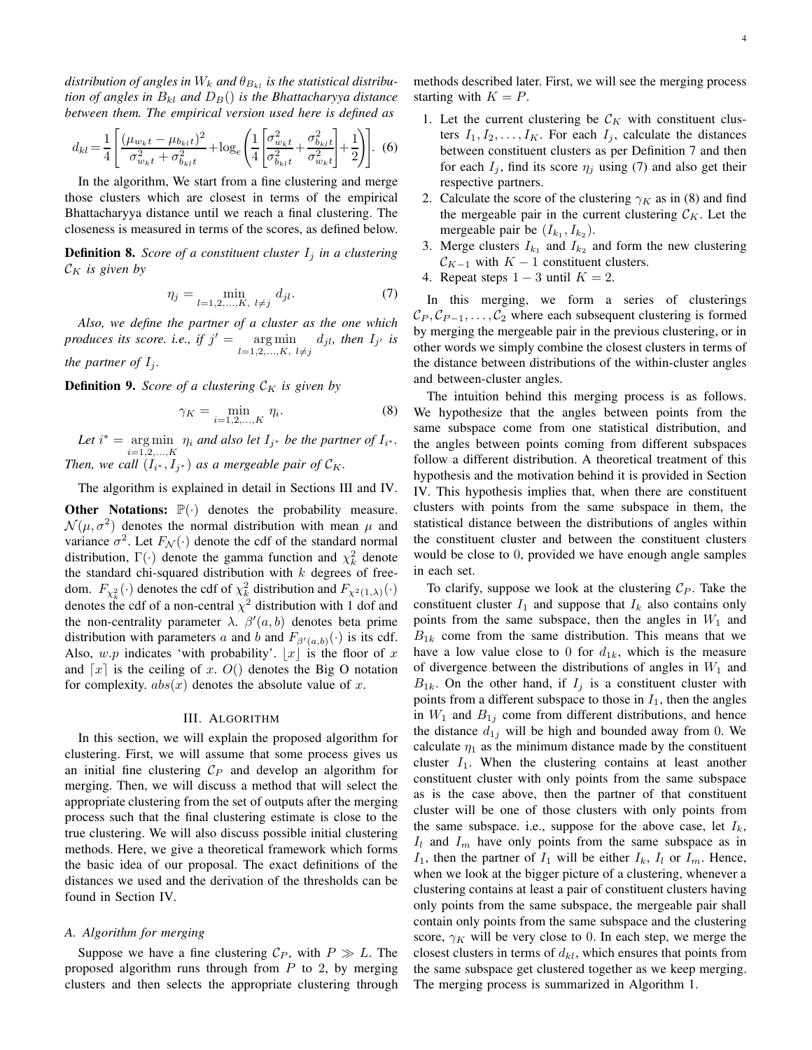*distribution of angles in*  $W_k$  *and*  $\theta_{B_{kl}}$  *is the statistical distribution of angles in*  $B_{kl}$  *and*  $D_B()$  *is the Bhattacharyya distance between them. The empirical version used here is defined as*

$$
d_{kl} = \frac{1}{4} \left[ \frac{(\mu_{w_k t} - \mu_{b_{kl}t})^2}{\sigma_{w_k t}^2 + \sigma_{b_{kl}t}^2} + \log_e \left( \frac{1}{4} \left[ \frac{\sigma_{w_k t}^2}{\sigma_{b_{kl}t}^2} + \frac{\sigma_{b_{kl}t}^2}{\sigma_{w_k t}^2} \right] + \frac{1}{2} \right) \right].
$$
 (6)

In the algorithm, We start from a fine clustering and merge those clusters which are closest in terms of the empirical Bhattacharyya distance until we reach a final clustering. The closeness is measured in terms of the scores, as defined below.

**Definition 8.** *Score of a constituent cluster*  $I_j$  *in a clustering*  $\mathcal{C}_K$  *is given by* 

$$
\eta_j = \min_{l=1,2,\dots,K, l \neq j} d_{jl}.\tag{7}
$$

*Also, we define the partner of a cluster as the one which produces its score. i.e., if*  $j' = \argmin$  $l=1,2,...,K, l\neq j$  $d_{jl}$ *, then*  $I_{j'}$  *is the partner of*  $I_i$ *.* 

**Definition 9.** *Score of a clustering*  $C_K$  *is given by* 

$$
\gamma_K = \min_{i=1,2,\dots,K} \eta_i. \tag{8}
$$

Let  $i^* = \argmin_{i=1,2,...,K} \eta_i$  and also let  $I_{j^*}$  be the partner of  $I_{i^*}$ . *Then, we call*  $(I_{i^*}, I_{j^*})$  *as a mergeable pair of*  $\mathcal{C}_K$ *.* 

The algorithm is explained in detail in Sections III and IV.

Other Notations:  $\mathbb{P}(\cdot)$  denotes the probability measure.  $\mathcal{N}(\mu, \sigma^2)$  denotes the normal distribution with mean  $\mu$  and variance  $\sigma^2$ . Let  $F_{\mathcal{N}}(\cdot)$  denote the cdf of the standard normal distribution,  $\Gamma(\cdot)$  denote the gamma function and  $\chi^2_k$  denote the standard chi-squared distribution with  $k$  degrees of freedom.  $F_{\chi^2_k}(\cdot)$  denotes the cdf of  $\chi^2_k$  distribution and  $F_{\chi^2(1,\lambda)}(\cdot)$ denotes the cdf of a non-central  $\chi^2$  distribution with 1 dof and the non-centrality parameter  $\lambda$ .  $\beta'(a, b)$  denotes beta prime distribution with parameters a and b and  $F_{\beta'(a,b)}(\cdot)$  is its cdf. Also, w.p indicates 'with probability'.  $|x|$  is the floor of x and  $\lceil x \rceil$  is the ceiling of x. O() denotes the Big O notation for complexity.  $abs(x)$  denotes the absolute value of x.

#### III. ALGORITHM

In this section, we will explain the proposed algorithm for clustering. First, we will assume that some process gives us an initial fine clustering  $C_P$  and develop an algorithm for merging. Then, we will discuss a method that will select the appropriate clustering from the set of outputs after the merging process such that the final clustering estimate is close to the true clustering. We will also discuss possible initial clustering methods. Here, we give a theoretical framework which forms the basic idea of our proposal. The exact definitions of the distances we used and the derivation of the thresholds can be found in Section IV.

#### *A. Algorithm for merging*

Suppose we have a fine clustering  $C_P$ , with  $P \gg L$ . The proposed algorithm runs through from  $P$  to 2, by merging clusters and then selects the appropriate clustering through methods described later. First, we will see the merging process starting with  $K = P$ .

- 1. Let the current clustering be  $\mathcal{C}_K$  with constituent clusters  $I_1, I_2, \ldots, I_K$ . For each  $I_j$ , calculate the distances between constituent clusters as per Definition 7 and then for each  $I_j$ , find its score  $\eta_j$  using (7) and also get their respective partners.
- 2. Calculate the score of the clustering  $\gamma_K$  as in (8) and find the mergeable pair in the current clustering  $\mathcal{C}_K$ . Let the mergeable pair be  $(I_{k_1}, I_{k_2})$ .
- 3. Merge clusters  $I_{k_1}$  and  $I_{k_2}$  and form the new clustering  $\mathcal{C}_{K-1}$  with  $K-1$  constituent clusters.
- 4. Repeat steps  $1 3$  until  $K = 2$ .

In this merging, we form a series of clusterings  $C_P, C_{P-1}, \ldots, C_2$  where each subsequent clustering is formed by merging the mergeable pair in the previous clustering, or in other words we simply combine the closest clusters in terms of the distance between distributions of the within-cluster angles and between-cluster angles.

The intuition behind this merging process is as follows. We hypothesize that the angles between points from the same subspace come from one statistical distribution, and the angles between points coming from different subspaces follow a different distribution. A theoretical treatment of this hypothesis and the motivation behind it is provided in Section IV. This hypothesis implies that, when there are constituent clusters with points from the same subspace in them, the statistical distance between the distributions of angles within the constituent cluster and between the constituent clusters would be close to 0, provided we have enough angle samples in each set.

To clarify, suppose we look at the clustering  $C_P$ . Take the constituent cluster  $I_1$  and suppose that  $I_k$  also contains only points from the same subspace, then the angles in  $W_1$  and  $B_{1k}$  come from the same distribution. This means that we have a low value close to 0 for  $d_{1k}$ , which is the measure of divergence between the distributions of angles in  $W_1$  and  $B_{1k}$ . On the other hand, if  $I_j$  is a constituent cluster with points from a different subspace to those in  $I_1$ , then the angles in  $W_1$  and  $B_{1j}$  come from different distributions, and hence the distance  $d_{1j}$  will be high and bounded away from 0. We calculate  $\eta_1$  as the minimum distance made by the constituent cluster  $I_1$ . When the clustering contains at least another constituent cluster with only points from the same subspace as is the case above, then the partner of that constituent cluster will be one of those clusters with only points from the same subspace. i.e., suppose for the above case, let  $I_k$ ,  $I_l$  and  $I_m$  have only points from the same subspace as in  $I_1$ , then the partner of  $I_1$  will be either  $I_k$ ,  $I_l$  or  $I_m$ . Hence, when we look at the bigger picture of a clustering, whenever a clustering contains at least a pair of constituent clusters having only points from the same subspace, the mergeable pair shall contain only points from the same subspace and the clustering score,  $\gamma_K$  will be very close to 0. In each step, we merge the closest clusters in terms of  $d_{kl}$ , which ensures that points from the same subspace get clustered together as we keep merging. The merging process is summarized in Algorithm 1.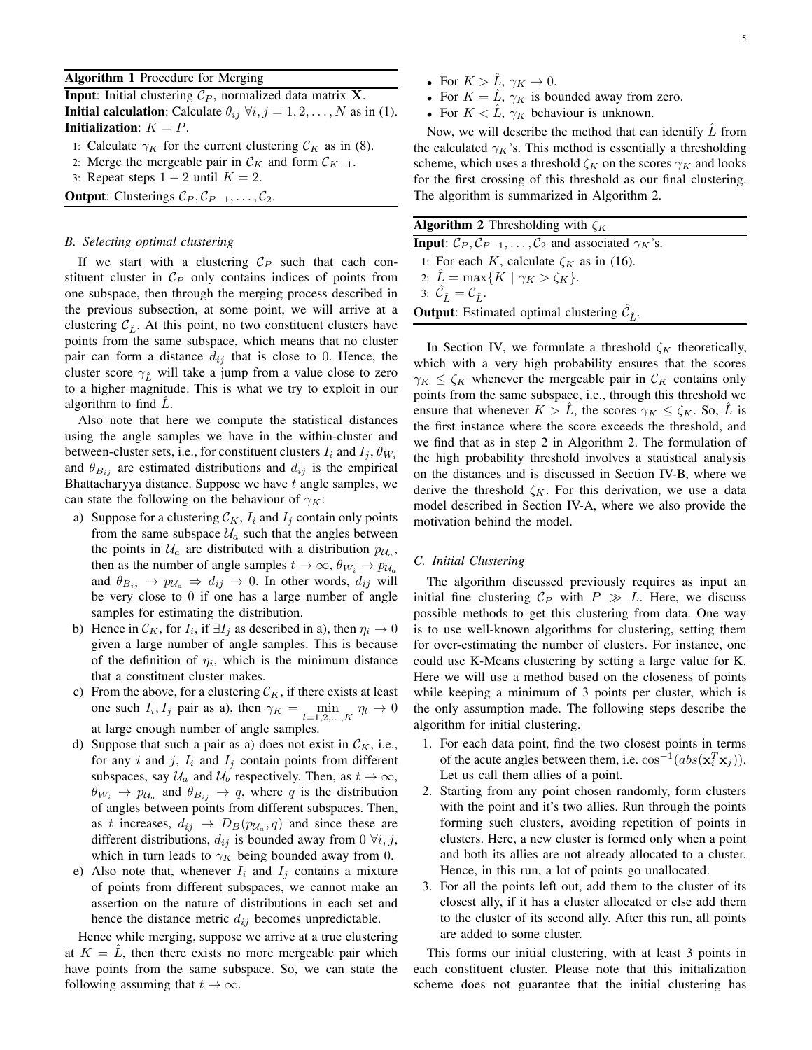## Algorithm 1 Procedure for Merging

**Input:** Initial clustering  $\mathcal{C}_P$ , normalized data matrix **X**. **Initial calculation**: Calculate  $\theta_{ij}$   $\forall i, j = 1, 2, ..., N$  as in (1). **Initialization:**  $K = P$ .

- 1: Calculate  $\gamma_K$  for the current clustering  $\mathcal{C}_K$  as in (8).
- 2: Merge the mergeable pair in  $\mathcal{C}_K$  and form  $\mathcal{C}_{K-1}$ .
- 3: Repeat steps  $1 2$  until  $K = 2$ .

**Output:** Clusterings  $C_P, C_{P-1}, \ldots, C_2$ .

## *B. Selecting optimal clustering*

If we start with a clustering  $C_P$  such that each constituent cluster in  $C_P$  only contains indices of points from one subspace, then through the merging process described in the previous subsection, at some point, we will arrive at a clustering  $C_{\hat{L}}$ . At this point, no two constituent clusters have points from the same subspace, which means that no cluster pair can form a distance  $d_{ij}$  that is close to 0. Hence, the cluster score  $\gamma_{\hat{t}}$  will take a jump from a value close to zero to a higher magnitude. This is what we try to exploit in our algorithm to find  $L$ .

Also note that here we compute the statistical distances using the angle samples we have in the within-cluster and between-cluster sets, i.e., for constituent clusters  $I_i$  and  $I_j$ ,  $\theta_{W_i}$ and  $\theta_{B_{ij}}$  are estimated distributions and  $d_{ij}$  is the empirical Bhattacharyya distance. Suppose we have  $t$  angle samples, we can state the following on the behaviour of  $\gamma_K$ :

- a) Suppose for a clustering  $\mathcal{C}_K$ ,  $I_i$  and  $I_j$  contain only points from the same subspace  $\mathcal{U}_a$  such that the angles between the points in  $U_a$  are distributed with a distribution  $p_{U_a}$ , then as the number of angle samples  $t \to \infty$ ,  $\theta_{W_i} \to p_{U_a}$ and  $\theta_{B_{ij}} \to p_{\mathcal{U}_a} \Rightarrow d_{ij} \to 0$ . In other words,  $d_{ij}$  will be very close to 0 if one has a large number of angle samples for estimating the distribution.
- b) Hence in  $\mathcal{C}_K$ , for  $I_i$ , if  $\exists I_j$  as described in a), then  $\eta_i \to 0$ given a large number of angle samples. This is because of the definition of  $\eta_i$ , which is the minimum distance that a constituent cluster makes.
- c) From the above, for a clustering  $\mathcal{C}_K$ , if there exists at least one such  $I_i, I_j$  pair as a), then  $\gamma_K = \min_{l=1,2,...,K} \eta_l \to 0$ at large enough number of angle samples.
- d) Suppose that such a pair as a) does not exist in  $\mathcal{C}_K$ , i.e., for any i and j,  $I_i$  and  $I_j$  contain points from different subspaces, say  $U_a$  and  $U_b$  respectively. Then, as  $t \to \infty$ ,  $\theta_{W_i} \to p_{U_a}$  and  $\theta_{B_{ij}} \to q$ , where q is the distribution of angles between points from different subspaces. Then, as t increases,  $d_{ij} \rightarrow D_B(p_{\mathcal{U}_a}, q)$  and since these are different distributions,  $d_{ij}$  is bounded away from 0  $\forall i, j$ , which in turn leads to  $\gamma_K$  being bounded away from 0.
- e) Also note that, whenever  $I_i$  and  $I_j$  contains a mixture of points from different subspaces, we cannot make an assertion on the nature of distributions in each set and hence the distance metric  $d_{ij}$  becomes unpredictable.

Hence while merging, suppose we arrive at a true clustering at  $K = L$ , then there exists no more mergeable pair which have points from the same subspace. So, we can state the following assuming that  $t \to \infty$ .

- For  $K > \hat{L}$ ,  $\gamma_K \to 0$ .
- For  $K = L$ ,  $\gamma_K$  is bounded away from zero.
- For  $K < L$ ,  $\gamma_K$  behaviour is unknown.

Now, we will describe the method that can identify  $\tilde{L}$  from the calculated  $\gamma_K$ 's. This method is essentially a thresholding scheme, which uses a threshold  $\zeta_K$  on the scores  $\gamma_K$  and looks for the first crossing of this threshold as our final clustering. The algorithm is summarized in Algorithm 2.

| <b>Algorithm 2</b> Thresholding with $\zeta_K$                              |
|-----------------------------------------------------------------------------|
| <b>Input:</b> $C_P, C_{P-1}, \ldots, C_2$ and associated $\gamma_K$ 's.     |
| 1: For each K, calculate $\zeta_K$ as in (16).                              |
| 2: $\hat{L} = \max\{K \mid \gamma_K > \zeta_K\}.$                           |
| 3: $\hat{\mathcal{C}}_{\hat{L}} = \mathcal{C}_{\hat{L}}$ .                  |
| <b>Output:</b> Estimated optimal clustering $\hat{\mathcal{C}}_{\hat{r}}$ . |

In Section IV, we formulate a threshold  $\zeta_K$  theoretically, which with a very high probability ensures that the scores  $\gamma_K \leq \zeta_K$  whenever the mergeable pair in  $\mathcal{C}_K$  contains only points from the same subspace, i.e., through this threshold we ensure that whenever  $K > L$ , the scores  $\gamma_K \leq \zeta_K$ . So, L is the first instance where the score exceeds the threshold, and we find that as in step 2 in Algorithm 2. The formulation of the high probability threshold involves a statistical analysis on the distances and is discussed in Section IV-B, where we derive the threshold  $\zeta_K$ . For this derivation, we use a data model described in Section IV-A, where we also provide the motivation behind the model.

## *C. Initial Clustering*

The algorithm discussed previously requires as input an initial fine clustering  $C_P$  with  $P \gg L$ . Here, we discuss possible methods to get this clustering from data. One way is to use well-known algorithms for clustering, setting them for over-estimating the number of clusters. For instance, one could use K-Means clustering by setting a large value for K. Here we will use a method based on the closeness of points while keeping a minimum of 3 points per cluster, which is the only assumption made. The following steps describe the algorithm for initial clustering.

- 1. For each data point, find the two closest points in terms of the acute angles between them, i.e.  $\cos^{-1}(abs(\mathbf{x}_i^T \mathbf{x}_j))$ . Let us call them allies of a point.
- 2. Starting from any point chosen randomly, form clusters with the point and it's two allies. Run through the points forming such clusters, avoiding repetition of points in clusters. Here, a new cluster is formed only when a point and both its allies are not already allocated to a cluster. Hence, in this run, a lot of points go unallocated.
- 3. For all the points left out, add them to the cluster of its closest ally, if it has a cluster allocated or else add them to the cluster of its second ally. After this run, all points are added to some cluster.

This forms our initial clustering, with at least 3 points in each constituent cluster. Please note that this initialization scheme does not guarantee that the initial clustering has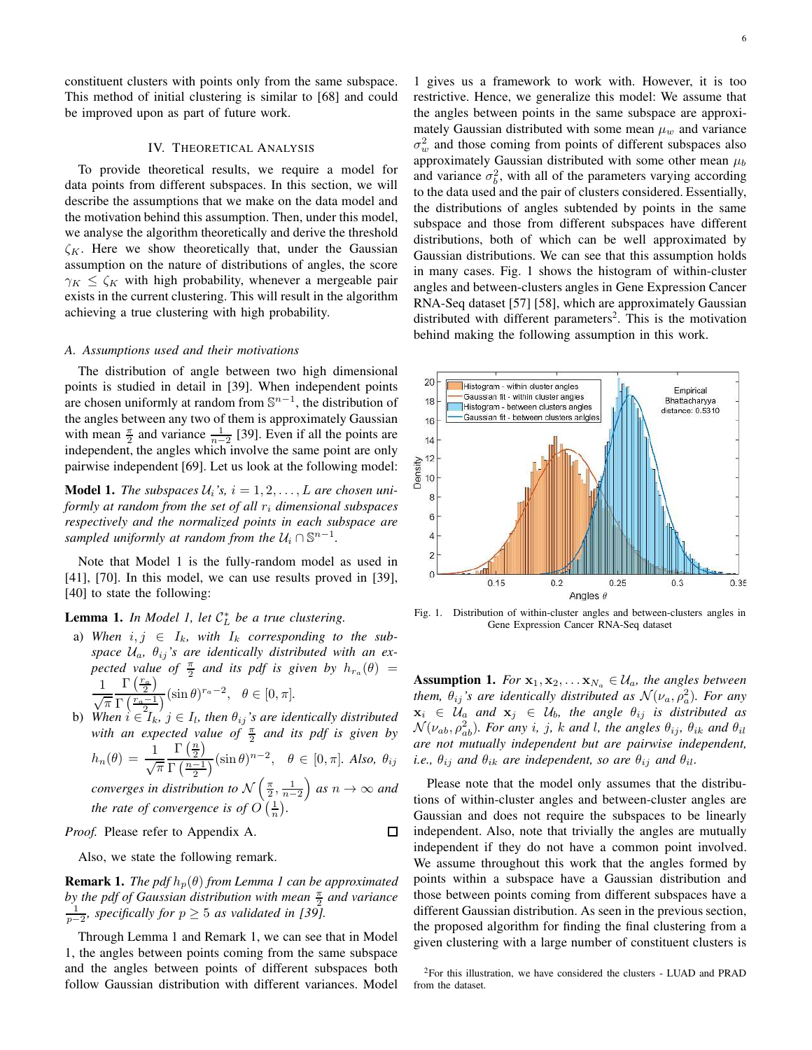constituent clusters with points only from the same subspace. This method of initial clustering is similar to [68] and could be improved upon as part of future work.

# IV. THEORETICAL ANALYSIS

To provide theoretical results, we require a model for data points from different subspaces. In this section, we will describe the assumptions that we make on the data model and the motivation behind this assumption. Then, under this model, we analyse the algorithm theoretically and derive the threshold  $\zeta_K$ . Here we show theoretically that, under the Gaussian assumption on the nature of distributions of angles, the score  $\gamma_K \leq \zeta_K$  with high probability, whenever a mergeable pair exists in the current clustering. This will result in the algorithm achieving a true clustering with high probability.

## *A. Assumptions used and their motivations*

The distribution of angle between two high dimensional points is studied in detail in [39]. When independent points are chosen uniformly at random from  $\mathbb{S}^{n-1}$ , the distribution of the angles between any two of them is approximately Gaussian with mean  $\frac{\pi}{2}$  and variance  $\frac{1}{n-2}$  [39]. Even if all the points are independent, the angles which involve the same point are only pairwise independent [69]. Let us look at the following model:

**Model 1.** The subspaces  $U_i$ 's,  $i = 1, 2, \ldots, L$  are chosen uni*formly at random from the set of all*  $r_i$  *dimensional subspaces respectively and the normalized points in each subspace are sampled uniformly at random from the*  $U_i \cap \mathbb{S}^{n-1}$ *.* 

Note that Model 1 is the fully-random model as used in [41], [70]. In this model, we can use results proved in [39], [40] to state the following:

**Lemma 1.** In Model 1, let  $\mathcal{C}_L^*$  be a true clustering.

- a) When  $i, j \in I_k$ , with  $I_k$  corresponding to the subspace  $U_a$ ,  $\theta_{ij}$ 's are identically distributed with an ex*pected value of*  $\frac{\pi}{2}$  *and its pdf is given by*  $h_{r_a}(\theta)$  = 1  $\sqrt{\pi}$  $\Gamma\left(\frac{r_a}{2}\right)$  $\frac{1}{\Gamma\left(\frac{r_a-1}{2_r}\right)} (\sin \theta)^{r_a-2}, \quad \theta \in [0, \pi].$
- b) *When*  $i \in I_k$ ,  $j \in I_l$ , then  $\theta_{ij}$ 's are identically distributed with an expected value of  $\frac{\pi}{2}$  and its pdf is given by  $h_n(\theta) = \frac{1}{\sqrt{\pi}}$  $\Gamma\left(\frac{n}{2}\right)$  $\frac{1}{\Gamma(\frac{n-1}{2})}(\sin \theta)^{n-2}, \quad \theta \in [0, \pi]$ . Also,  $\theta_{ij}$ *converges in distribution to*  $\mathcal{N}\left(\frac{\pi}{2},\frac{1}{n-2}\right)$  $\left(\right)$  as  $n \to \infty$  and *the rate of convergence is of*  $O\left(\frac{1}{n}\right)$ .

口

*Proof.* Please refer to Appendix A.

Also, we state the following remark.

**Remark 1.** *The pdf*  $h_p(\theta)$  *from Lemma 1 can be approximated by the pdf of Gaussian distribution with mean*  $\frac{\pi}{2}$  *and variance*  $\frac{1}{p-2}$ , specifically for  $p ≥ 5$  as validated in [39].

Through Lemma 1 and Remark 1, we can see that in Model 1, the angles between points coming from the same subspace and the angles between points of different subspaces both follow Gaussian distribution with different variances. Model

1 gives us a framework to work with. However, it is too restrictive. Hence, we generalize this model: We assume that the angles between points in the same subspace are approximately Gaussian distributed with some mean  $\mu_w$  and variance  $\sigma_w^2$  and those coming from points of different subspaces also approximately Gaussian distributed with some other mean  $\mu_b$ and variance  $\sigma_b^2$ , with all of the parameters varying according to the data used and the pair of clusters considered. Essentially, the distributions of angles subtended by points in the same subspace and those from different subspaces have different distributions, both of which can be well approximated by Gaussian distributions. We can see that this assumption holds in many cases. Fig. 1 shows the histogram of within-cluster angles and between-clusters angles in Gene Expression Cancer RNA-Seq dataset [57] [58], which are approximately Gaussian distributed with different parameters<sup>2</sup>. This is the motivation behind making the following assumption in this work.



Fig. 1. Distribution of within-cluster angles and between-clusters angles in Gene Expression Cancer RNA-Seq dataset

**Assumption 1.** *For*  $x_1, x_2, \ldots x_{N_a} \in \mathcal{U}_a$ *, the angles between* them,  $\theta_{ij}$ 's are identically distributed as  $\mathcal{N}(\nu_a, \rho_a^2)$ . For any  $x_i \in \mathcal{U}_a$  *and*  $x_j \in \mathcal{U}_b$ *, the angle*  $\theta_{ij}$  *is distributed as*  $\mathcal{N}(\nu_{ab}, \rho_{ab}^2)$ *. For any i, j, k* and *l,* the angles  $\theta_{ij}$ *,*  $\theta_{ik}$  and  $\theta_{il}$ *are not mutually independent but are pairwise independent, i.e.,*  $\theta_{ij}$  *and*  $\theta_{ik}$  *are independent, so are*  $\theta_{ij}$  *and*  $\theta_{il}$ *.* 

Please note that the model only assumes that the distributions of within-cluster angles and between-cluster angles are Gaussian and does not require the subspaces to be linearly independent. Also, note that trivially the angles are mutually independent if they do not have a common point involved. We assume throughout this work that the angles formed by points within a subspace have a Gaussian distribution and those between points coming from different subspaces have a different Gaussian distribution. As seen in the previous section, the proposed algorithm for finding the final clustering from a given clustering with a large number of constituent clusters is

<sup>2</sup>For this illustration, we have considered the clusters - LUAD and PRAD from the dataset.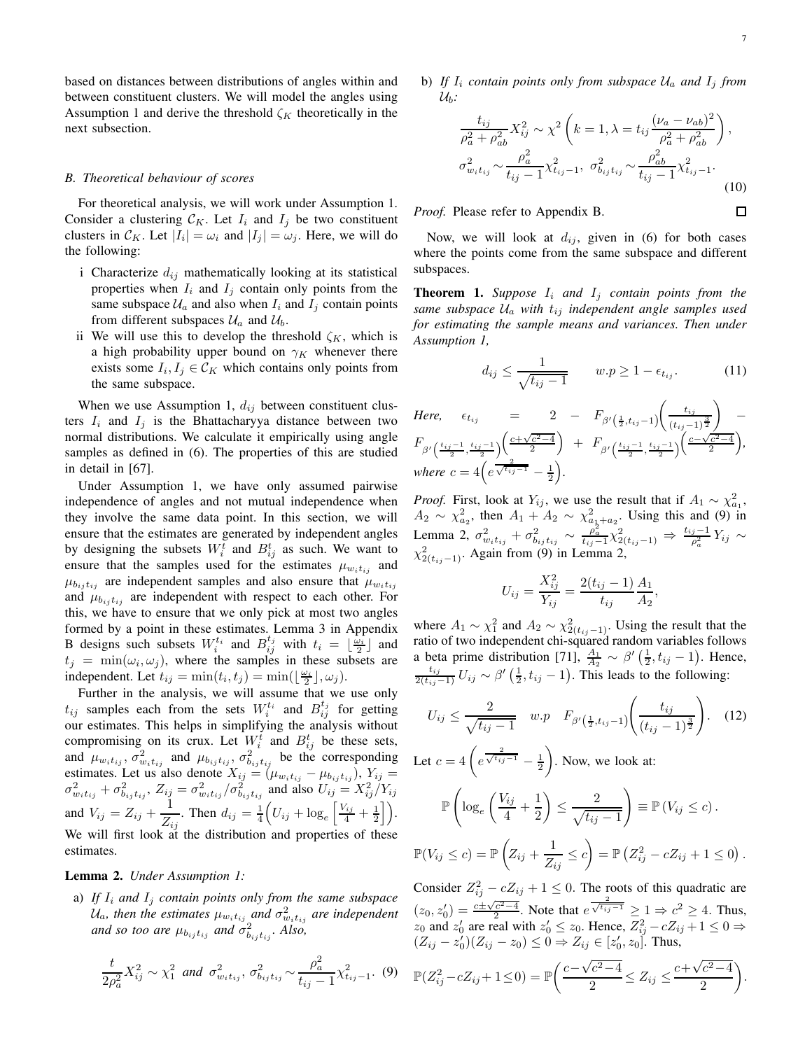based on distances between distributions of angles within and between constituent clusters. We will model the angles using Assumption 1 and derive the threshold  $\zeta_K$  theoretically in the next subsection.

#### *B. Theoretical behaviour of scores*

For theoretical analysis, we will work under Assumption 1. Consider a clustering  $\mathcal{C}_K$ . Let  $I_i$  and  $I_j$  be two constituent clusters in  $\mathcal{C}_K$ . Let  $|I_i| = \omega_i$  and  $|I_j| = \omega_j$ . Here, we will do the following:

- i Characterize  $d_{ij}$  mathematically looking at its statistical properties when  $I_i$  and  $I_j$  contain only points from the same subspace  $\mathcal{U}_a$  and also when  $I_i$  and  $I_j$  contain points from different subspaces  $\mathcal{U}_a$  and  $\mathcal{U}_b$ .
- ii We will use this to develop the threshold  $\zeta_K$ , which is a high probability upper bound on  $\gamma_K$  whenever there exists some  $I_i, I_j \in \mathcal{C}_K$  which contains only points from the same subspace.

When we use Assumption 1,  $d_{ij}$  between constituent clusters  $I_i$  and  $I_j$  is the Bhattacharyya distance between two normal distributions. We calculate it empirically using angle samples as defined in (6). The properties of this are studied in detail in [67].

Under Assumption 1, we have only assumed pairwise independence of angles and not mutual independence when they involve the same data point. In this section, we will ensure that the estimates are generated by independent angles by designing the subsets  $W_i^t$  and  $B_{ij}^t$  as such. We want to ensure that the samples used for the estimates  $\mu_{w_i t_{ij}}$  and  $\mu_{b_{ij}t_{ij}}$  are independent samples and also ensure that  $\mu_{w_i t_{ij}}$ and  $\mu_{b_{ij}t_{ij}}$  are independent with respect to each other. For this, we have to ensure that we only pick at most two angles formed by a point in these estimates. Lemma 3 in Appendix B designs such subsets  $W_i^{t_i}$  and  $B_{ij}^{t_j}$  with  $t_i = \lfloor \frac{\omega_i}{2} \rfloor$  and  $t_j = \min(\omega_i, \omega_j)$ , where the samples in these subsets are independent. Let  $t_{ij} = \min(t_i, t_j) = \min(\lfloor \frac{\omega_i}{2} \rfloor, \omega_j)$ .

Further in the analysis, we will assume that we use only  $t_{ij}$  samples each from the sets  $W_i^{t_i}$  and  $B_{ij}^{t_j}$  for getting our estimates. This helps in simplifying the analysis without compromising on its crux. Let  $W_i^t$  and  $B_{ij}^t$  be these sets, and  $\mu_{w_i t_{ij}}, \sigma^2_{w_i t_{ij}}$  and  $\mu_{b_{ij} t_{ij}}, \sigma^2_{b_{ij} t_{ij}}$  be the corresponding estimates. Let us also denote  $X_{ij} = (\mu_{w_i t_{ij}} - \mu_{b_{ij} t_{ij}})$ ,  $Y_{ij} =$  $\sigma_{w_it_{ij}}^2+\sigma_{b_{ij}t_{ij}}^2,$   $Z_{ij}=\sigma_{w_it_{ij}}^2/\sigma_{b_{ij}t_{ij}}^2$  and also  $U_{ij}=X_{ij}^2/Y_{ij}$ and  $V_{ij} = Z_{ij} + \frac{1}{7}$  $\frac{1}{Z_{ij}}$ . Then  $d_{ij} = \frac{1}{4} \Big( U_{ij} + \log_e \left[ \frac{V_{ij}}{4} + \frac{1}{2} \right] \Big)$ . We will first look at the distribution and properties of these estimates.

## Lemma 2. *Under Assumption 1:*

a) If  $I_i$  and  $I_j$  contain points only from the same subspace  $\mathcal{U}_a$ , then the estimates  $\mu_{w_it_{ij}}$  and  $\sigma^2_{w_it_{ij}}$  are independent and so too are  $\mu_{b_{ij}t_{ij}}$  and  $\sigma_{b_{ij}t_{ij}}^2$ . Also,

$$
\frac{t}{2\rho_a^2} X_{ij}^2 \sim \chi_1^2 \text{ and } \sigma_{w_i t_{ij}}^2, \sigma_{b_i t_{ij}}^2 \sim \frac{\rho_a^2}{t_{ij} - 1} \chi_{t_{ij} - 1}^2. \tag{9}
$$

b) If  $I_i$  contain points only from subspace  $U_a$  and  $I_j$  from Ub*:*

$$
\frac{t_{ij}}{\rho_a^2 + \rho_{ab}^2} X_{ij}^2 \sim \chi^2 \left( k = 1, \lambda = t_{ij} \frac{(\nu_a - \nu_{ab})^2}{\rho_a^2 + \rho_{ab}^2} \right),
$$
  

$$
\sigma_{w_i t_{ij}}^2 \sim \frac{\rho_a^2}{t_{ij} - 1} \chi_{t_{ij} - 1}^2, \ \sigma_{b_{ij} t_{ij}}^2 \sim \frac{\rho_{ab}^2}{t_{ij} - 1} \chi_{t_{ij} - 1}^2.
$$
 (10)

*Proof.* Please refer to Appendix B.

 $\Box$ 

Now, we will look at  $d_{ij}$ , given in (6) for both cases where the points come from the same subspace and different subspaces.

**Theorem 1.** Suppose  $I_i$  and  $I_j$  contain points from the *same subspace*  $U_a$  *with*  $t_{ij}$  *independent angle samples used for estimating the sample means and variances. Then under Assumption 1,*

$$
d_{ij} \le \frac{1}{\sqrt{t_{ij} - 1}} \qquad w.p \ge 1 - \epsilon_{t_{ij}}.\tag{11}
$$

*Here,*  $\epsilon_{t_{ij}}$  = 2 −  $F_{\beta'(\frac{1}{2}, t_{ij}-1)}$  $\begin{pmatrix} t_{ij} \end{pmatrix}$  $(t_{ij}-1)^{\frac{3}{2}}$  $\setminus$ −  $F_{\beta'(\frac{t_{ij}-1}{2},\frac{t_{ij}-1}{2})}\left(\frac{c+\sqrt{c^2-4}}{2}\right) + F_{\beta'(\frac{t_{ij}-1}{2},\frac{t_{ij}-1}{2})}\left(\frac{c-\sqrt{c^2-4}}{2}\right)$  $\setminus$ *, where*  $c = 4 \left( e^{\frac{2}{\sqrt{t_{ij}-1}}} - \frac{1}{2} \right)$ .

*Proof.* First, look at  $Y_{ij}$ , we use the result that if  $A_1 \sim \chi_{a_1}^2$ ,  $A_2 \sim \chi^2_{a_2}$ , then  $A_1 + A_2 \sim \chi^2_{a_1 + a_2}$ . Using this and (9) in Lemma 2,  $\sigma_{w_i t_{ij}}^2 + \sigma_{b_{ij} t_{ij}}^2 \sim \frac{\rho_a^2}{t_{ij}-1} \chi_{2(t_{ij}-1)}^2 \Rightarrow \frac{t_{ij}-1}{\rho_a^2} Y_{ij} \sim$  $\chi^2_{2(t_{ij}-1)}$ . Again from (9) in Lemma 2,

$$
U_{ij} = \frac{X_{ij}^2}{Y_{ij}} = \frac{2(t_{ij} - 1)}{t_{ij}} \frac{A_1}{A_2},
$$

where  $A_1 \sim \chi_1^2$  and  $A_2 \sim \chi_{2(t_{ij}-1)}^2$ . Using the result that the ratio of two independent chi-squared random variables follows a beta prime distribution [71],  $\frac{A_1}{A_2} \sim \beta'(\frac{1}{2}, t_{ij} - 1)$ . Hence,  $\frac{t_{ij}}{2(t_{ij}-1)} U_{ij} \sim \beta' \left(\frac{1}{2}, t_{ij}-1\right)$ . This leads to the following:

$$
U_{ij} \le \frac{2}{\sqrt{t_{ij}-1}} \quad w.p \quad F_{\beta'(\frac{1}{2}, t_{ij}-1)}\left(\frac{t_{ij}}{(t_{ij}-1)^{\frac{3}{2}}}\right). \quad (12)
$$

Let  $c = 4 \left( e^{\frac{2}{\sqrt{t_{ij}-1}}} - \frac{1}{2} \right)$  . Now, we look at:  $_{\mathbb{P}}\bigl($  $log_e\left(\frac{V_{ij}}{4}\right)$  $\frac{\gamma_{ij}}{4} + \frac{1}{2}$ 2  $\setminus$ ≤ 2  $\sqrt{t_{ij}-1}$  $\Big) \equiv \mathbb{P} \left( V_{ij} \leq c \right).$  $\mathbb{P}(V_{ij} \leq c) = \mathbb{P}$  $\sqrt{2}$  $Z_{ij}$  + 1  $\lambda$  $=$   $\mathbb{P}$  $\left($ Z 2

$$
\mathbb{P}(V_{ij} \le c) = \mathbb{P}\left(Z_{ij} + \frac{1}{Z_{ij}} \le c\right) = \mathbb{P}\left(Z_{ij}^2 - cZ_{ij} + 1 \le 0\right).
$$
  
Consider  $Z_{ij}^2 - cZ_{ij} + 1 \le 0$ . The roots of this quadratic are

 $i_j^2 - cZ_{ij} + 1 \leq 0$ . The roots of this quadratic are  $(z_0, z'_0) = \frac{c \pm \sqrt{c^2 - 4}}{2}$ . Note that  $e^{\frac{z_0}{\sqrt{t_{ij} - 1}}} \geq 1 \Rightarrow c^2 \geq 4$ . Thus,  $z_0$  and  $z'_0$  are real with  $z'_0 \leq z_0$ . Hence,  $Z_{ij}^2 - cZ_{ij} + 1 \leq 0 \Rightarrow$  $(Z_{ij} - z'_0)(Z_{ij} - z_0) \leq 0 \Rightarrow Z_{ij} \in [z'_0, z_0]$ . Thus,

$$
\mathbb{P}(Z_{ij}^2 - cZ_{ij} + 1 \le 0) = \mathbb{P}\left(\frac{c - \sqrt{c^2 - 4}}{2} \le Z_{ij} \le \frac{c + \sqrt{c^2 - 4}}{2}\right).
$$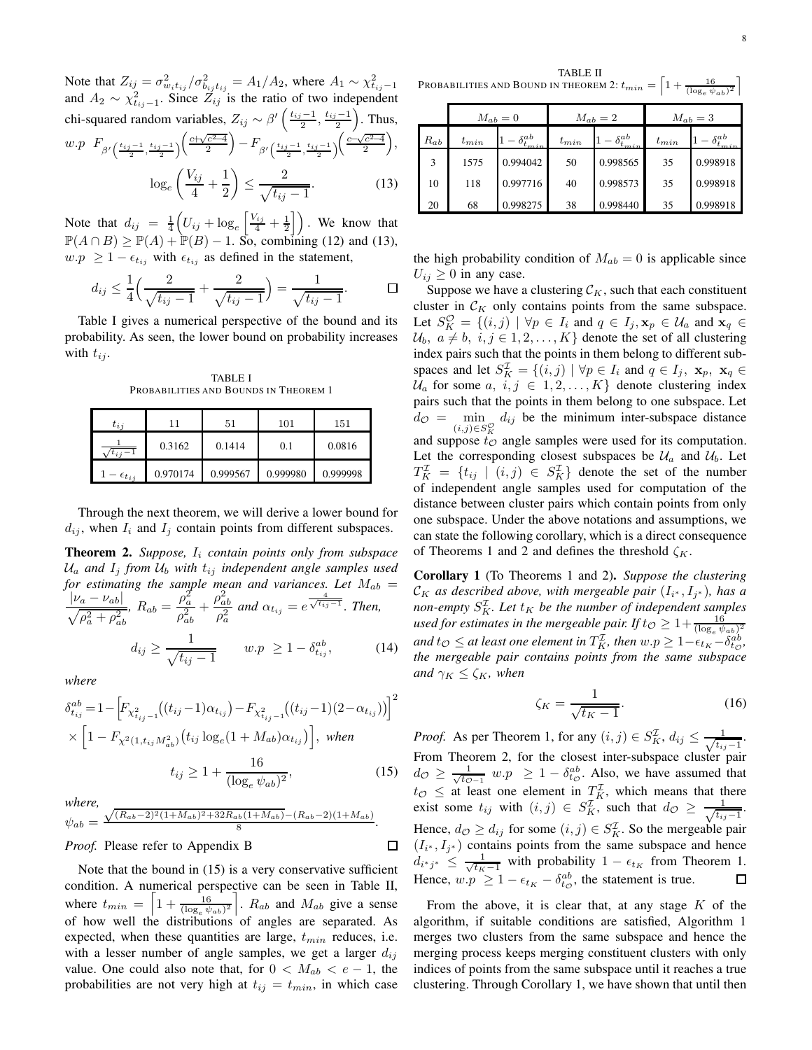8

Note that  $Z_{ij} = \sigma_{w_i t_{ij}}^2 / \sigma_{b_{ij} t_{ij}}^2 = A_1 / A_2$ , where  $A_1 \sim \chi_{t_{ij}-1}^2$ and  $A_2 \sim \chi^2_{t_{ij}-1}$ . Since  $Z_{ij}$  is the ratio of two independent chi-squared random variables,  $Z_{ij} \sim \beta' \left( \frac{t_{ij}-1}{2}, \frac{t_{ij}-1}{2} \right)$ . Thus,  $w.p \; \; F_{\beta'(\frac{t_{ij}-1}{2},\frac{t_{ij}-1}{2})}\left(\frac{c+\sqrt{c^2-4}}{2}\right) - F_{\beta'(\frac{t_{ij}-1}{2},\frac{t_{ij}-1}{2})}\left(\frac{c-\sqrt{c^2-4}}{2}\right),$  $log_e\left(\frac{V_{ij}}{4}\right)$  $\frac{\gamma_{ij}}{4} + \frac{1}{2}$ 2  $\setminus$ ≤ 2  $\sqrt{t_{ij}-1}$  $(13)$ 

Note that  $d_{ij} = \frac{1}{4} \left( U_{ij} + \log_e \left[ \frac{V_{ij}}{4} + \frac{1}{2} \right] \right)$ . We know that  $\mathbb{P}(A \cap B) \ge \mathbb{P}(A) + \mathbb{P}(B) - 1$ . So, combining (12) and (13),  $w.p \geq 1 - \epsilon_{t_{ij}}$  with  $\epsilon_{t_{ij}}$  as defined in the statement,

$$
d_{ij} \leq \frac{1}{4} \left( \frac{2}{\sqrt{t_{ij} - 1}} + \frac{2}{\sqrt{t_{ij} - 1}} \right) = \frac{1}{\sqrt{t_{ij} - 1}}.
$$

Table I gives a numerical perspective of the bound and its probability. As seen, the lower bound on probability increases with  $t_{ij}$ .

TABLE I PROBABILITIES AND BOUNDS IN THEOREM 1

| $t_{i,i}$             | 11       | 51       | 101      | 151      |
|-----------------------|----------|----------|----------|----------|
| $\iota_{i,i}$         | 0.3162   | 0.1414   | 0.1      | 0.0816   |
| $1-\epsilon_{t_{ij}}$ | 0.970174 | 0.999567 | 0.999980 | 0.999998 |

Through the next theorem, we will derive a lower bound for  $d_{ij}$ , when  $I_i$  and  $I_j$  contain points from different subspaces.

Theorem 2. *Suppose,* I<sup>i</sup> *contain points only from subspace*  $U_a$  and  $I_j$  from  $U_b$  with  $t_{ij}$  independent angle samples used *for estimating the sample mean and variances. Let*  $M_{ab}$  =  $|\nu_a - \nu_{ab}|$  $\sqrt{\rho_a^2 + \rho_{ab}^2}$ *,*  $R_{ab} = \frac{\rho_a^2}{r^2}$  $\rho_{ab}^2$  $+\frac{\rho_{ab}^2}{2}$  $\rho_{ab}^2$  and  $\alpha_{t_{ij}} = e^{\frac{4}{\sqrt{t_{ij}-1}}}$ . Then,  $d_{ij} \geq \frac{1}{\sqrt{1+i}}$  $\frac{1}{\sqrt{t_{ij}-1}}$   $w.p \geq 1-\delta_{t_{ij}}^{ab}$  $(14)$ 

*where*

$$
\delta_{t_{ij}}^{ab} = 1 - \left[ F_{\chi_{t_{ij}-1}^{2}}((t_{ij}-1)\alpha_{t_{ij}}) - F_{\chi_{t_{ij}-1}^{2}}((t_{ij}-1)(2-\alpha_{t_{ij}})) \right]^{2}
$$
  
 
$$
\times \left[ 1 - F_{\chi^{2}(1,t_{ij}M_{ab}^{2})}(t_{ij}\log_{e}(1+M_{ab})\alpha_{t_{ij}}) \right], \text{ when}
$$

$$
t_{ij} \geq 1 + \frac{16}{(\log_{e}\psi_{ab})^{2}}, \tag{15}
$$

*where,*

where,  
\n
$$
\psi_{ab} = \frac{\sqrt{(R_{ab}-2)^2(1+M_{ab})^2+32R_{ab}(1+M_{ab})-(R_{ab}-2)(1+M_{ab})}}{8}.
$$

# *Proof.* Please refer to Appendix B

Note that the bound in (15) is a very conservative sufficient condition. A numerical perspective can be seen in Table II, where  $t_{min} = \left[1 + \frac{16}{(\log_e \psi_{ab})^2}\right]$ .  $R_{ab}$  and  $M_{ab}$  give a sense of how well the distributions of angles are separated. As expected, when these quantities are large,  $t_{min}$  reduces, i.e. with a lesser number of angle samples, we get a larger  $d_{ij}$ value. One could also note that, for  $0 < M_{ab} < e - 1$ , the probabilities are not very high at  $t_{ij} = t_{min}$ , in which case

TABLE II Probabilities and Bound in theorem 2:  $t_{min} = \left\lceil 1 + \frac{16}{(\log_{e}\psi_{ab})^2} \right\rceil$ m

|          | $M_{ab}=0$ |                                         |           | $M_{ab}=2$                 | $M_{ab}=3$ |                                    |  |
|----------|------------|-----------------------------------------|-----------|----------------------------|------------|------------------------------------|--|
| $R_{ab}$ | $t_{min}$  | $-\frac{\delta^{ab}_{t_{min}}}{\sigma}$ | $t_{min}$ | $-\,\delta^{ab}_{t_{min}}$ | $t_{min}$  | $\cdot$ $-\,\delta^{ab}_{t_{min}}$ |  |
| 3        | 1575       | 0.994042                                | 50        | 0.998565                   | 35         | 0.998918                           |  |
| 10       | 118        | 0.997716                                | 40        | 0.998573                   | 35         | 0.998918                           |  |
| 20       | 68         | 0.998275                                | 38        | 0.998440                   | 35         | 0.998918                           |  |

the high probability condition of  $M_{ab} = 0$  is applicable since  $U_{ij} \geq 0$  in any case.

Suppose we have a clustering  $\mathcal{C}_K$ , such that each constituent cluster in  $\mathcal{C}_K$  only contains points from the same subspace. Let  $S_K^{\mathcal{O}} = \{(i, j) \mid \forall p \in I_i \text{ and } q \in I_j, \mathbf{x}_p \in \mathcal{U}_a \text{ and } \mathbf{x}_q \in \mathcal{U}_b\}$  $U_b$ ,  $a \neq b$ ,  $i, j \in 1, 2, \ldots, K$  denote the set of all clustering index pairs such that the points in them belong to different subspaces and let  $S_K^{\mathcal{I}} = \{(\overline{i},j) \mid \forall p \in I_i \text{ and } q \in I_j, \mathbf{x}_p, \mathbf{x}_q \in$  $U_a$  for some  $a, i, j \in 1, 2, ..., K$  denote clustering index pairs such that the points in them belong to one subspace. Let  $d_{\mathcal{O}} = \min_{(i,j)\in S_K^{\mathcal{O}}} d_{ij}$  be the minimum inter-subspace distance and suppose  $t_{\mathcal{O}}$  angle samples were used for its computation. Let the corresponding closest subspaces be  $\mathcal{U}_a$  and  $\mathcal{U}_b$ . Let  $T_K^L = \{t_{ij} \mid (i,j) \in S_K^L\}$  denote the set of the number of independent angle samples used for computation of the distance between cluster pairs which contain points from only one subspace. Under the above notations and assumptions, we can state the following corollary, which is a direct consequence of Theorems 1 and 2 and defines the threshold  $\zeta_K$ .

Corollary 1 (To Theorems 1 and 2). *Suppose the clustering*  $\mathcal{C}_K$  as described above, with mergeable pair  $(I_{i^*}, I_{j^*})$ , has a *non-empty*  $S_K^{\mathcal{I}}$ . Let  $t_K$  be the number of independent samples used for estimates in the mergeable pair. If  $t_{\mathcal{O}} \geq 1 {+} \frac{16}{(\log_{e}\psi_{ab})^2}$ and  $t_{\mathcal{O}} \leq a$  *t* least one element in  $T_K^{\mathcal{I}}$ , then  $w.p \geq 1-\epsilon_{t_K}-\delta_{t_{\mathcal{O}}}^{ab}$ , *the mergeable pair contains points from the same subspace and*  $\gamma_K \leq \zeta_K$ *, when* 

$$
\zeta_K = \frac{1}{\sqrt{t_K - 1}}.\tag{16}
$$

*Proof.* As per Theorem 1, for any  $(i, j) \in S_K^{\mathcal{I}}$ ,  $d_{ij} \leq \frac{1}{\sqrt{ti}}$  $\frac{1}{t_{ij}-1}$ . From Theorem 2, for the closest inter-subspace cluster pair  $d_{\mathcal{O}} \geq \frac{1}{\sqrt{t_{\mathcal{O}-1}}}$   $w.p \geq 1 - \delta_{t_{\mathcal{O}}}^{ab}$ . Also, we have assumed that  $t_{\mathcal{O}} \leq$  at least one element in  $T_K^{\mathcal{I}}$ , which means that there exist some  $t_{ij}$  with  $(i, j) \in S_K^{\mathcal{I}}$ , such that  $d_{\mathcal{O}} \geq \frac{1}{\sqrt{t_{ij}}}$  $\frac{1}{t_{ij}-1}$ . Hence,  $d_{\mathcal{O}} \geq d_{ij}$  for some  $(i, j) \in S_K^{\mathcal{I}}$ . So the mergeable pair  $(I_{i^*}, I_{j^*})$  contains points from the same subspace and hence  $d_{i^*j^*} \leq \frac{1}{\sqrt{t_K-1}}$  with probability  $1 - \epsilon_{t_K}$  from Theorem 1. Hence,  $w.p \geq 1 - \epsilon_{t_K} - \delta_{t_O}^{ab}$ , the statement is true.  $\Box$ 

From the above, it is clear that, at any stage  $K$  of the algorithm, if suitable conditions are satisfied, Algorithm 1 merges two clusters from the same subspace and hence the merging process keeps merging constituent clusters with only indices of points from the same subspace until it reaches a true clustering. Through Corollary 1, we have shown that until then

 $\Box$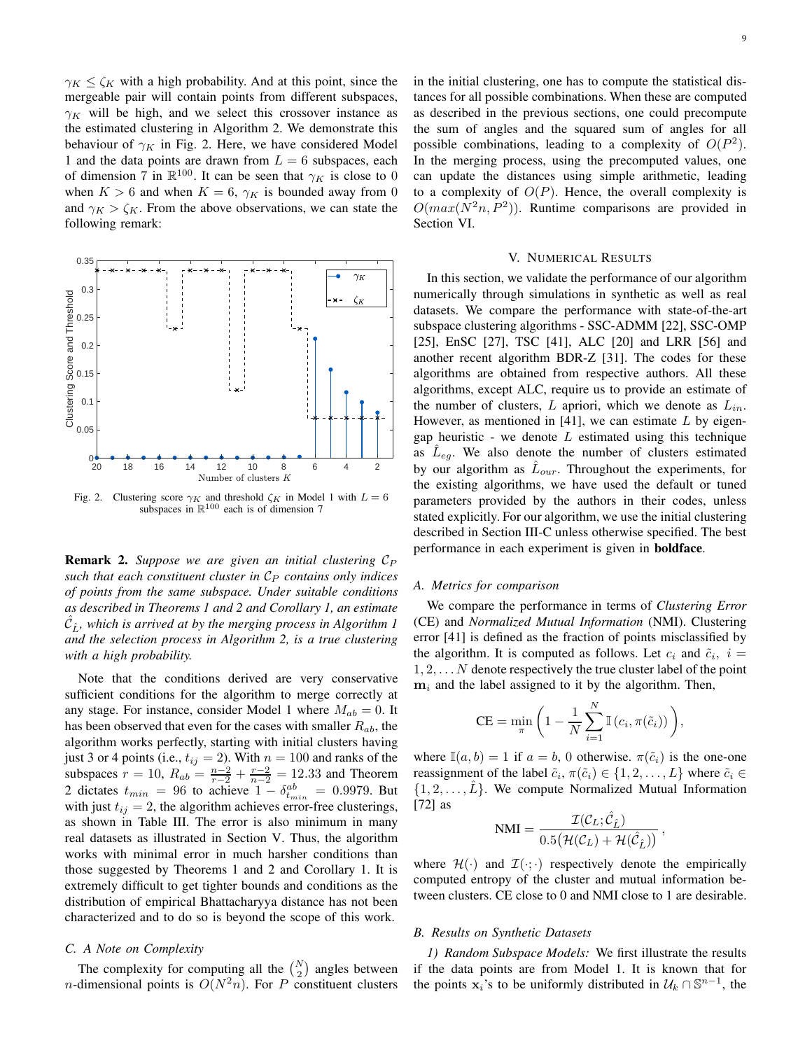$\gamma_K \leq \zeta_K$  with a high probability. And at this point, since the mergeable pair will contain points from different subspaces,  $\gamma_K$  will be high, and we select this crossover instance as the estimated clustering in Algorithm 2. We demonstrate this behaviour of  $\gamma_K$  in Fig. 2. Here, we have considered Model 1 and the data points are drawn from  $L = 6$  subspaces, each of dimension 7 in  $\mathbb{R}^{100}$ . It can be seen that  $\gamma_K$  is close to 0 when  $K > 6$  and when  $K = 6$ ,  $\gamma_K$  is bounded away from 0 and  $\gamma_K > \zeta_K$ . From the above observations, we can state the following remark:



Fig. 2. Clustering score  $\gamma_K$  and threshold  $\zeta_K$  in Model 1 with  $L = 6$ subspaces in  $\mathbb{R}^{100}$  each is of dimension 7

**Remark 2.** Suppose we are given an initial clustering  $C_P$ *such that each constituent cluster in*  $\mathcal{C}_P$  *contains only indices of points from the same subspace. Under suitable conditions as described in Theorems 1 and 2 and Corollary 1, an estimate*  $\hat{\mathcal{C}}_{\hat{L}}$ , which is arrived at by the merging process in Algorithm 1 *and the selection process in Algorithm 2, is a true clustering with a high probability.*

Note that the conditions derived are very conservative sufficient conditions for the algorithm to merge correctly at any stage. For instance, consider Model 1 where  $M_{ab} = 0$ . It has been observed that even for the cases with smaller  $R_{ab}$ , the algorithm works perfectly, starting with initial clusters having just 3 or 4 points (i.e.,  $t_{ij} = 2$ ). With  $n = 100$  and ranks of the subspaces  $r = 10$ ,  $R_{ab} = \frac{n-2}{r-2} + \frac{r-2}{n-2} = 12.33$  and Theorem 2 dictates  $t_{min} = 96$  to achieve  $1 - \delta_{t_{min}}^{ab} = 0.9979$ . But with just  $t_{ij} = 2$ , the algorithm achieves error-free clusterings, as shown in Table III. The error is also minimum in many real datasets as illustrated in Section V. Thus, the algorithm works with minimal error in much harsher conditions than those suggested by Theorems 1 and 2 and Corollary 1. It is extremely difficult to get tighter bounds and conditions as the distribution of empirical Bhattacharyya distance has not been characterized and to do so is beyond the scope of this work.

#### *C. A Note on Complexity*

The complexity for computing all the  $\binom{N}{2}$  angles between *n*-dimensional points is  $O(N^2n)$ . For P constituent clusters in the initial clustering, one has to compute the statistical distances for all possible combinations. When these are computed as described in the previous sections, one could precompute the sum of angles and the squared sum of angles for all possible combinations, leading to a complexity of  $O(P^2)$ . In the merging process, using the precomputed values, one can update the distances using simple arithmetic, leading to a complexity of  $O(P)$ . Hence, the overall complexity is  $O(max(N^2n, P^2))$ . Runtime comparisons are provided in Section VI.

#### V. NUMERICAL RESULTS

In this section, we validate the performance of our algorithm numerically through simulations in synthetic as well as real datasets. We compare the performance with state-of-the-art subspace clustering algorithms - SSC-ADMM [22], SSC-OMP [25], EnSC [27], TSC [41], ALC [20] and LRR [56] and another recent algorithm BDR-Z [31]. The codes for these algorithms are obtained from respective authors. All these algorithms, except ALC, require us to provide an estimate of the number of clusters, L apriori, which we denote as  $L_{in}$ . However, as mentioned in  $[41]$ , we can estimate  $L$  by eigengap heuristic - we denote  $L$  estimated using this technique as  $\hat{L}_{eg}$ . We also denote the number of clusters estimated by our algorithm as  $\hat{L}_{our}$ . Throughout the experiments, for the existing algorithms, we have used the default or tuned parameters provided by the authors in their codes, unless stated explicitly. For our algorithm, we use the initial clustering described in Section III-C unless otherwise specified. The best performance in each experiment is given in boldface.

## *A. Metrics for comparison*

We compare the performance in terms of *Clustering Error* (CE) and *Normalized Mutual Information* (NMI). Clustering error [41] is defined as the fraction of points misclassified by the algorithm. It is computed as follows. Let  $c_i$  and  $\tilde{c}_i$ ,  $i =$  $1, 2, \ldots N$  denote respectively the true cluster label of the point  $m_i$  and the label assigned to it by the algorithm. Then,

$$
\mathrm{CE} = \min_{\pi} \left( 1 - \frac{1}{N} \sum_{i=1}^{N} \mathbb{I} \left( c_i, \pi(\tilde{c}_i) \right) \right),
$$

where  $\mathbb{I}(a, b) = 1$  if  $a = b$ , 0 otherwise.  $\pi(\tilde{c}_i)$  is the one-one reassignment of the label  $\tilde{c}_i$ ,  $\pi(\tilde{c}_i) \in \{1, 2, ..., L\}$  where  $\tilde{c}_i \in$  $\{1, 2, \ldots, L\}$ . We compute Normalized Mutual Information [72] as

$$
\text{NMI} = \frac{\mathcal{I}(\mathcal{C}_L; \hat{\mathcal{C}}_{\hat{L}})}{0.5(\mathcal{H}(\mathcal{C}_L) + \mathcal{H}(\hat{\mathcal{C}}_{\hat{L}}))},
$$

where  $\mathcal{H}(\cdot)$  and  $\mathcal{I}(\cdot;\cdot)$  respectively denote the empirically computed entropy of the cluster and mutual information between clusters. CE close to 0 and NMI close to 1 are desirable.

#### *B. Results on Synthetic Datasets*

*1) Random Subspace Models:* We first illustrate the results if the data points are from Model 1. It is known that for the points  $\mathbf{x}_i$ 's to be uniformly distributed in  $\mathcal{U}_k \cap \mathbb{S}^{n-1}$ , the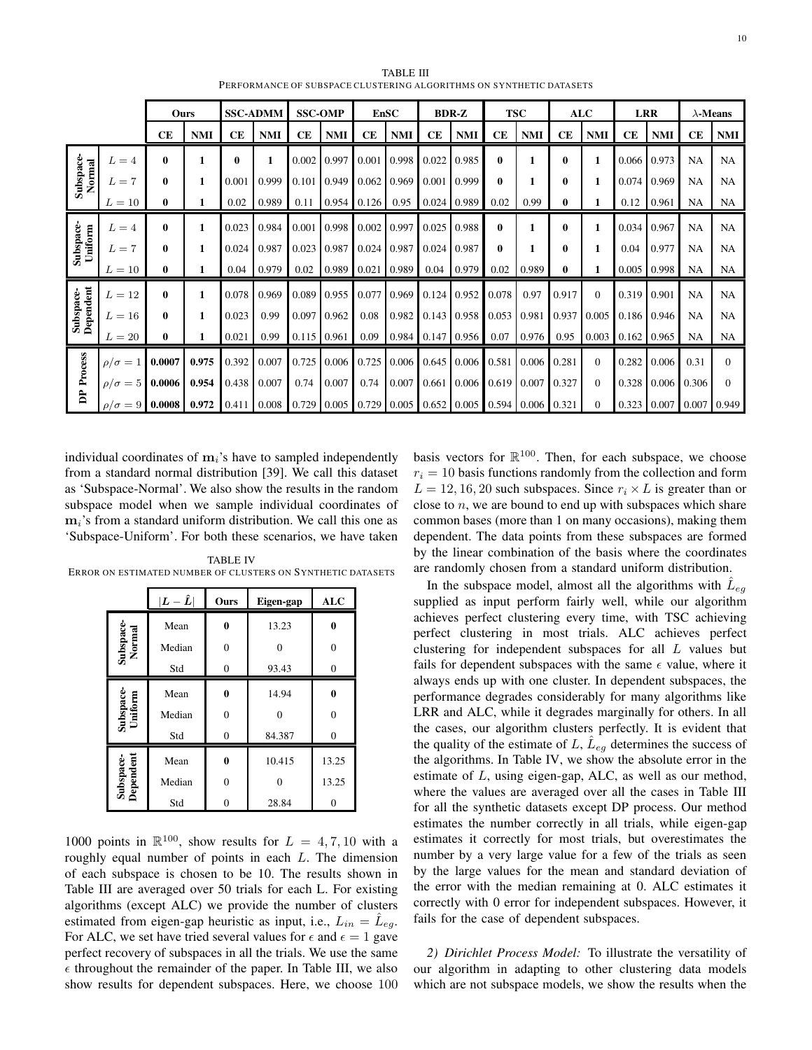|                        |                 |              | Ours       |           | <b>SSC-ADMM</b> |       | <b>SSC-OMP</b> |                                                                | <b>EnSC</b> |           | <b>BDR-Z</b> |              | <b>TSC</b>          |       | <b>ALC</b> | <b>LRR</b>  |            |               | $\lambda$ -Means |
|------------------------|-----------------|--------------|------------|-----------|-----------------|-------|----------------|----------------------------------------------------------------|-------------|-----------|--------------|--------------|---------------------|-------|------------|-------------|------------|---------------|------------------|
|                        |                 | <b>CE</b>    | <b>NMI</b> | <b>CE</b> | <b>NMI</b>      | CE    | <b>NMI</b>     | CE                                                             | <b>NMI</b>  | <b>CE</b> | <b>NMI</b>   | CE           | <b>NMI</b>          | CE    | <b>NMI</b> | <b>CE</b>   | <b>NMI</b> | CЕ            | <b>NMI</b>       |
|                        | $L=4$           | $\mathbf{0}$ |            | 0         | 1               | 0.002 | 0.997          | 0.001                                                          | 0.998       | 0.022     | 0.985        | $\mathbf{0}$ |                     | 0     |            | 0.066       | 0.973      | <b>NA</b>     | <b>NA</b>        |
| Subspace-<br>Normal    | $L=7$           | 0            | 1          | 0.001     | 0.999           | 0.101 | 0.949          | 0.062                                                          | 0.969       | 0.001     | 0.999        | 0            | 1                   | 0     | 1          | 0.074       | 0.969      | <b>NA</b>     | <b>NA</b>        |
|                        | $L=10$          | $\mathbf{0}$ | 1          | 0.02      | 0.989           | 0.11  | 0.954          | 0.126                                                          | 0.95        | 0.024     | 0.989        | 0.02         | 0.99                | 0     | 1          | 0.12        | 0.961      | NA            | NA               |
|                        | $L=4$           | 0            | 1          | 0.023     | 0.984           | 0.001 | 0.998          | 0.002                                                          | 0.997       | 0.025     | 0.988        | $\mathbf{0}$ |                     | 0     | 1          | 0.034       | 0.967      | NA            | <b>NA</b>        |
| Subspace-<br>Uniform   | $L=7$           | 0            | 1          | 0.024     | 0.987           | 0.023 | 0.987          | 0.024                                                          | 0.987       | 0.024     | 0.987        | 0            |                     | 0     | 1          | 0.04        | 0.977      | <b>NA</b>     | <b>NA</b>        |
|                        | $L=10$          | $\mathbf{0}$ | 1          | 0.04      | 0.979           | 0.02  | 0.989          | 0.021                                                          | 0.989       | 0.04      | 0.979        | 0.02         | 0.989               | 0     |            | 0.005       | 0.998      | <b>NA</b>     | NA               |
|                        | $L=12$          | $\mathbf{0}$ | 1          | 0.078     | 0.969           | 0.089 | 0.955          | 0.077                                                          | 0.969       | 0.124     | 0.952        | 0.078        | 0.97                | 0.917 | $\Omega$   | 0.319       | 0.901      | NA            | <b>NA</b>        |
| Subspace-<br>Dependent | $L=16$          | 0            | 1          | 0.023     | 0.99            | 0.097 | 0.962          | 0.08                                                           | 0.982       |           | 0.143 0.958  | 0.053        | 0.981               | 0.937 | 0.005      | 0.186 0.946 |            | NA            | <b>NA</b>        |
|                        | $L=20$          | 0            | 1          | 0.021     | 0.99            | 0.115 | 0.961          | 0.09                                                           | 0.984       | 0.147     | 0.956        | 0.07         | 0.976               | 0.95  | 0.003      | 0.162       | 0.965      | <b>NA</b>     | NA               |
| Process                | $\rho/\sigma=1$ | 0.0007       | 0.975      | 0.392     | 0.007           | 0.725 | 0.006          | 0.725                                                          | 0.006       | 0.645     | 0.006        | 0.581        | 0.006               | 0.281 | $\Omega$   | 0.282       | 0.006      | 0.31          | $\Omega$         |
|                        | $\rho/\sigma=5$ | 0.0006       | 0.954      | 0.438     | 0.007           | 0.74  | 0.007          | 0.74                                                           | 0.007       | 0.661     | 0.006        | 0.619        | 0.007               | 0.327 | $\Omega$   | 0.328       | 0.006      | 0.306         | 0                |
| চ্চ                    | $\rho/\sigma=9$ | 0.0008       | 0.972      | 0.411     | 0.008           |       |                | $0.729 \mid 0.005 \mid 0.729 \mid 0.005 \mid 0.652 \mid 0.005$ |             |           |              |              | $0.594$ 0.006 0.321 |       | $\Omega$   | 0.323       |            | $0.007$ 0.007 | 0.949            |

TABLE III PERFORMANCE OF SUBSPACE CLUSTERING ALGORITHMS ON SYNTHETIC DATASETS

individual coordinates of  $m_i$ 's have to sampled independently from a standard normal distribution [39]. We call this dataset as 'Subspace-Normal'. We also show the results in the random subspace model when we sample individual coordinates of  $m_i$ 's from a standard uniform distribution. We call this one as 'Subspace-Uniform'. For both these scenarios, we have taken

TABLE IV ERROR ON ESTIMATED NUMBER OF CLUSTERS ON SYNTHETIC DATASETS

|                        | $ \bm{L}-\bm{\hat{L}} $ | Ours           | Eigen-gap | <b>ALC</b> |
|------------------------|-------------------------|----------------|-----------|------------|
|                        | Mean                    | $\bf{0}$       | 13.23     | 0          |
| Subspace-<br>Normal    | Median                  | $\theta$       | 0         | 0          |
|                        | Std                     | $\overline{0}$ | 93.43     | $\theta$   |
|                        | Mean                    | $\bf{0}$       | 14.94     | 0          |
| Subspace-<br>Uniform   | Median                  | $\theta$       | 0         | 0          |
|                        | Std                     | $\overline{0}$ | 84.387    | $\theta$   |
|                        | Mean                    | $\bf{0}$       | 10.415    | 13.25      |
| Subspace-<br>Dependent | Median                  | $\overline{0}$ |           | 13.25      |
|                        | Std                     | 0              | 28.84     | 0          |

1000 points in  $\mathbb{R}^{100}$ , show results for  $L = 4, 7, 10$  with a roughly equal number of points in each L. The dimension of each subspace is chosen to be 10. The results shown in Table III are averaged over 50 trials for each L. For existing algorithms (except ALC) we provide the number of clusters estimated from eigen-gap heuristic as input, i.e.,  $L_{in} = \hat{L}_{eg}$ . For ALC, we set have tried several values for  $\epsilon$  and  $\epsilon = 1$  gave perfect recovery of subspaces in all the trials. We use the same  $\epsilon$  throughout the remainder of the paper. In Table III, we also show results for dependent subspaces. Here, we choose 100

basis vectors for  $\mathbb{R}^{100}$ . Then, for each subspace, we choose  $r_i = 10$  basis functions randomly from the collection and form  $L = 12, 16, 20$  such subspaces. Since  $r_i \times L$  is greater than or close to  $n$ , we are bound to end up with subspaces which share common bases (more than 1 on many occasions), making them dependent. The data points from these subspaces are formed by the linear combination of the basis where the coordinates are randomly chosen from a standard uniform distribution.

In the subspace model, almost all the algorithms with  $\hat{L}_{eg}$ supplied as input perform fairly well, while our algorithm achieves perfect clustering every time, with TSC achieving perfect clustering in most trials. ALC achieves perfect clustering for independent subspaces for all  $L$  values but fails for dependent subspaces with the same  $\epsilon$  value, where it always ends up with one cluster. In dependent subspaces, the performance degrades considerably for many algorithms like LRR and ALC, while it degrades marginally for others. In all the cases, our algorithm clusters perfectly. It is evident that the quality of the estimate of L,  $\hat{L}_{eg}$  determines the success of the algorithms. In Table IV, we show the absolute error in the estimate of L, using eigen-gap, ALC, as well as our method, where the values are averaged over all the cases in Table III for all the synthetic datasets except DP process. Our method estimates the number correctly in all trials, while eigen-gap estimates it correctly for most trials, but overestimates the number by a very large value for a few of the trials as seen by the large values for the mean and standard deviation of the error with the median remaining at 0. ALC estimates it correctly with 0 error for independent subspaces. However, it fails for the case of dependent subspaces.

*2) Dirichlet Process Model:* To illustrate the versatility of our algorithm in adapting to other clustering data models which are not subspace models, we show the results when the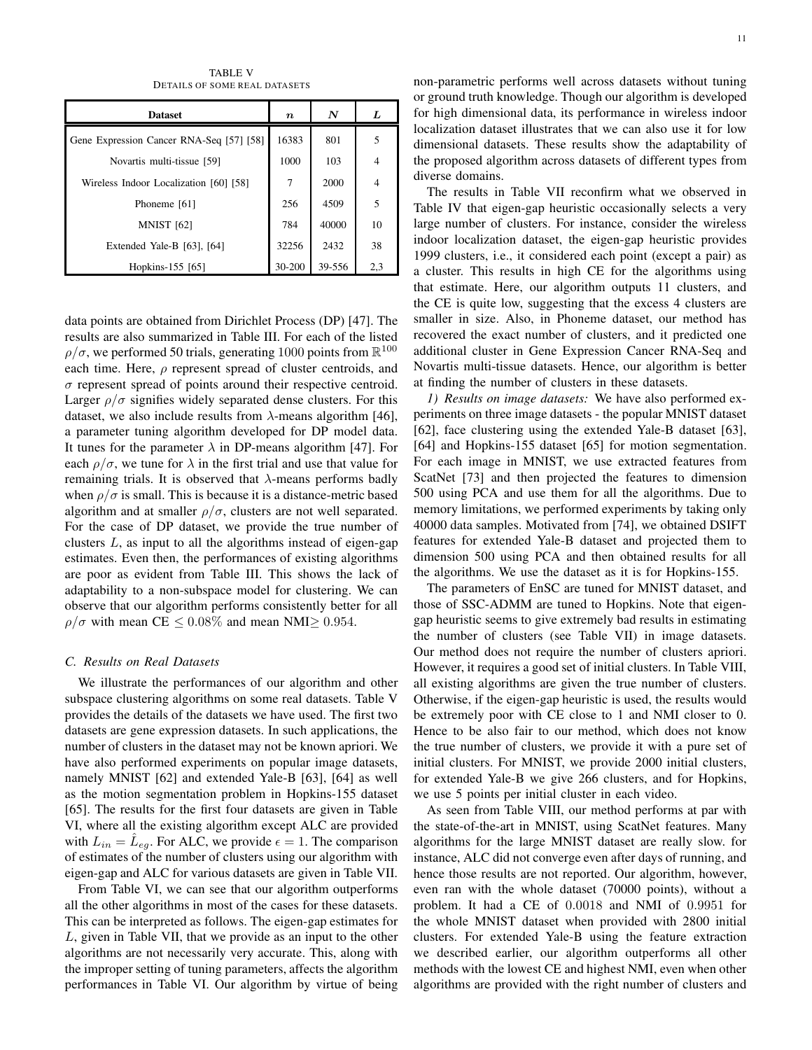TABLE V DETAILS OF SOME REAL DATASETS

| <b>Dataset</b>                           | $\boldsymbol{n}$ | N      |                |
|------------------------------------------|------------------|--------|----------------|
| Gene Expression Cancer RNA-Seq [57] [58] | 16383            | 801    | 5              |
| Novartis multi-tissue [59]               | 1000             | 103    | 4              |
| Wireless Indoor Localization [60] [58]   | 7                | 2000   | $\overline{4}$ |
| Phoneme [61]                             | 256              | 4509   | 5              |
| <b>MNIST</b> [62]                        | 784              | 40000  | 10             |
| Extended Yale-B [63], [64]               | 32256            | 2432   | 38             |
| Hopkins-155 [65]                         | 30-200           | 39-556 | 2,3            |

data points are obtained from Dirichlet Process (DP) [47]. The results are also summarized in Table III. For each of the listed  $\rho/\sigma$ , we performed 50 trials, generating 1000 points from  $\mathbb{R}^{100}$ each time. Here,  $\rho$  represent spread of cluster centroids, and  $\sigma$  represent spread of points around their respective centroid. Larger  $\rho/\sigma$  signifies widely separated dense clusters. For this dataset, we also include results from  $\lambda$ -means algorithm [46], a parameter tuning algorithm developed for DP model data. It tunes for the parameter  $\lambda$  in DP-means algorithm [47]. For each  $\rho/\sigma$ , we tune for  $\lambda$  in the first trial and use that value for remaining trials. It is observed that  $\lambda$ -means performs badly when  $\rho/\sigma$  is small. This is because it is a distance-metric based algorithm and at smaller  $\rho/\sigma$ , clusters are not well separated. For the case of DP dataset, we provide the true number of clusters L, as input to all the algorithms instead of eigen-gap estimates. Even then, the performances of existing algorithms are poor as evident from Table III. This shows the lack of adaptability to a non-subspace model for clustering. We can observe that our algorithm performs consistently better for all  $\rho/\sigma$  with mean CE < 0.08% and mean NMI > 0.954.

#### *C. Results on Real Datasets*

We illustrate the performances of our algorithm and other subspace clustering algorithms on some real datasets. Table V provides the details of the datasets we have used. The first two datasets are gene expression datasets. In such applications, the number of clusters in the dataset may not be known apriori. We have also performed experiments on popular image datasets, namely MNIST [62] and extended Yale-B [63], [64] as well as the motion segmentation problem in Hopkins-155 dataset [65]. The results for the first four datasets are given in Table VI, where all the existing algorithm except ALC are provided with  $L_{in} = \hat{L}_{eg}$ . For ALC, we provide  $\epsilon = 1$ . The comparison of estimates of the number of clusters using our algorithm with eigen-gap and ALC for various datasets are given in Table VII.

From Table VI, we can see that our algorithm outperforms all the other algorithms in most of the cases for these datasets. This can be interpreted as follows. The eigen-gap estimates for L, given in Table VII, that we provide as an input to the other algorithms are not necessarily very accurate. This, along with the improper setting of tuning parameters, affects the algorithm performances in Table VI. Our algorithm by virtue of being

non-parametric performs well across datasets without tuning or ground truth knowledge. Though our algorithm is developed for high dimensional data, its performance in wireless indoor localization dataset illustrates that we can also use it for low dimensional datasets. These results show the adaptability of the proposed algorithm across datasets of different types from diverse domains.

The results in Table VII reconfirm what we observed in Table IV that eigen-gap heuristic occasionally selects a very large number of clusters. For instance, consider the wireless indoor localization dataset, the eigen-gap heuristic provides 1999 clusters, i.e., it considered each point (except a pair) as a cluster. This results in high CE for the algorithms using that estimate. Here, our algorithm outputs 11 clusters, and the CE is quite low, suggesting that the excess 4 clusters are smaller in size. Also, in Phoneme dataset, our method has recovered the exact number of clusters, and it predicted one additional cluster in Gene Expression Cancer RNA-Seq and Novartis multi-tissue datasets. Hence, our algorithm is better at finding the number of clusters in these datasets.

*1) Results on image datasets:* We have also performed experiments on three image datasets - the popular MNIST dataset [62], face clustering using the extended Yale-B dataset [63], [64] and Hopkins-155 dataset [65] for motion segmentation. For each image in MNIST, we use extracted features from ScatNet [73] and then projected the features to dimension 500 using PCA and use them for all the algorithms. Due to memory limitations, we performed experiments by taking only 40000 data samples. Motivated from [74], we obtained DSIFT features for extended Yale-B dataset and projected them to dimension 500 using PCA and then obtained results for all the algorithms. We use the dataset as it is for Hopkins-155.

The parameters of EnSC are tuned for MNIST dataset, and those of SSC-ADMM are tuned to Hopkins. Note that eigengap heuristic seems to give extremely bad results in estimating the number of clusters (see Table VII) in image datasets. Our method does not require the number of clusters apriori. However, it requires a good set of initial clusters. In Table VIII, all existing algorithms are given the true number of clusters. Otherwise, if the eigen-gap heuristic is used, the results would be extremely poor with CE close to 1 and NMI closer to 0. Hence to be also fair to our method, which does not know the true number of clusters, we provide it with a pure set of initial clusters. For MNIST, we provide 2000 initial clusters, for extended Yale-B we give 266 clusters, and for Hopkins, we use 5 points per initial cluster in each video.

As seen from Table VIII, our method performs at par with the state-of-the-art in MNIST, using ScatNet features. Many algorithms for the large MNIST dataset are really slow. for instance, ALC did not converge even after days of running, and hence those results are not reported. Our algorithm, however, even ran with the whole dataset (70000 points), without a problem. It had a CE of 0.0018 and NMI of 0.9951 for the whole MNIST dataset when provided with 2800 initial clusters. For extended Yale-B using the feature extraction we described earlier, our algorithm outperforms all other methods with the lowest CE and highest NMI, even when other algorithms are provided with the right number of clusters and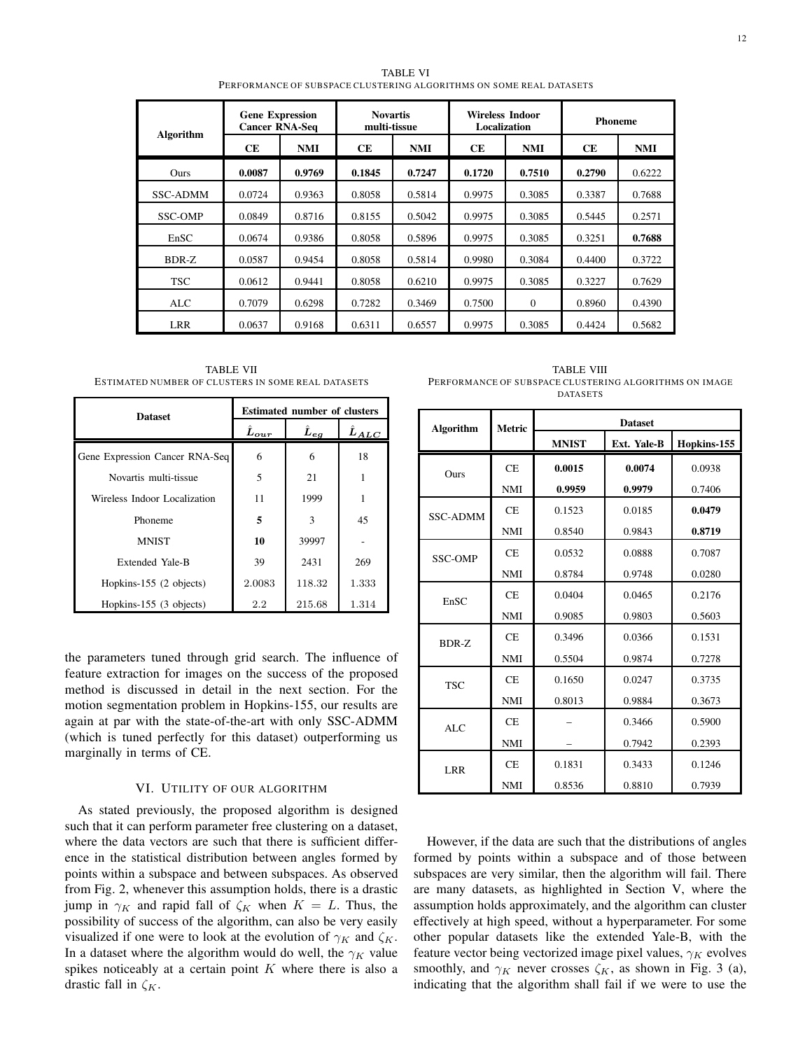| TABLE VI                                                            |  |
|---------------------------------------------------------------------|--|
| PERFORMANCE OF SUBSPACE CLUSTERING ALGORITHMS ON SOME REAL DATASETS |  |

| Algorithm       | <b>Gene Expression</b><br><b>Cancer RNA-Seq</b> |            | <b>Novartis</b><br>multi-tissue |            | <b>Wireless Indoor</b><br><b>Localization</b> |            | <b>Phoneme</b> |        |  |
|-----------------|-------------------------------------------------|------------|---------------------------------|------------|-----------------------------------------------|------------|----------------|--------|--|
|                 | CE                                              | <b>NMI</b> | CE                              | <b>NMI</b> | <b>CE</b>                                     | <b>NMI</b> | <b>CE</b>      | NMI    |  |
| Ours            | 0.0087                                          | 0.9769     | 0.1845                          | 0.7247     | 0.1720                                        | 0.7510     | 0.2790         | 0.6222 |  |
| <b>SSC-ADMM</b> | 0.0724                                          | 0.9363     | 0.8058                          | 0.5814     | 0.9975                                        | 0.3085     | 0.3387         | 0.7688 |  |
| <b>SSC-OMP</b>  | 0.0849                                          | 0.8716     | 0.8155                          | 0.5042     | 0.9975                                        | 0.3085     | 0.5445         | 0.2571 |  |
| EnSC            | 0.0674                                          | 0.9386     | 0.8058                          | 0.5896     | 0.9975                                        | 0.3085     | 0.3251         | 0.7688 |  |
| BDR-Z           | 0.0587                                          | 0.9454     | 0.8058                          | 0.5814     | 0.9980                                        | 0.3084     | 0.4400         | 0.3722 |  |
| <b>TSC</b>      | 0.0612                                          | 0.9441     | 0.8058                          | 0.6210     | 0.9975                                        | 0.3085     | 0.3227         | 0.7629 |  |
| <b>ALC</b>      | 0.7079                                          | 0.6298     | 0.7282                          | 0.3469     | 0.7500                                        | $\Omega$   | 0.8960         | 0.4390 |  |
| <b>LRR</b>      | 0.0637                                          | 0.9168     | 0.6311                          | 0.6557     | 0.9975                                        | 0.3085     | 0.4424         | 0.5682 |  |

TABLE VII ESTIMATED NUMBER OF CLUSTERS IN SOME REAL DATASETS

| <b>Dataset</b>                 | <b>Estimated number of clusters</b> |          |           |  |  |
|--------------------------------|-------------------------------------|----------|-----------|--|--|
|                                | $L_{our}$                           | $L_{eg}$ | $L_{ALC}$ |  |  |
| Gene Expression Cancer RNA-Seq | 6                                   | 6        | 18        |  |  |
| Novartis multi-tissue          | 5                                   | 21       |           |  |  |
| Wireless Indoor Localization   | 11                                  | 1999     |           |  |  |
| Phoneme                        | 5                                   | 3        | 45        |  |  |
| <b>MNIST</b>                   | 10                                  | 39997    |           |  |  |
| Extended Yale-B                | 39                                  | 2431     | 269       |  |  |
| Hopkins-155 (2 objects)        | 2.0083                              | 118.32   | 1.333     |  |  |
| Hopkins-155 (3 objects)        | 2.2                                 | 215.68   | 1.314     |  |  |

the parameters tuned through grid search. The influence of feature extraction for images on the success of the proposed method is discussed in detail in the next section. For the motion segmentation problem in Hopkins-155, our results are again at par with the state-of-the-art with only SSC-ADMM (which is tuned perfectly for this dataset) outperforming us marginally in terms of CE.

## VI. UTILITY OF OUR ALGORITHM

As stated previously, the proposed algorithm is designed such that it can perform parameter free clustering on a dataset, where the data vectors are such that there is sufficient difference in the statistical distribution between angles formed by points within a subspace and between subspaces. As observed from Fig. 2, whenever this assumption holds, there is a drastic jump in  $\gamma_K$  and rapid fall of  $\zeta_K$  when  $K = L$ . Thus, the possibility of success of the algorithm, can also be very easily visualized if one were to look at the evolution of  $\gamma_K$  and  $\zeta_K$ . In a dataset where the algorithm would do well, the  $\gamma_K$  value spikes noticeably at a certain point  $K$  where there is also a drastic fall in  $\zeta_K$ .

TABLE VIII PERFORMANCE OF SUBSPACE CLUSTERING ALGORITHMS ON IMAGE DATASETS

| Algorithm       | <b>Metric</b> | <b>Dataset</b> |             |             |  |
|-----------------|---------------|----------------|-------------|-------------|--|
|                 |               | <b>MNIST</b>   | Ext. Yale-B | Hopkins-155 |  |
| Ours            | <b>CE</b>     | 0.0015         | 0.0074      | 0.0938      |  |
|                 | <b>NMI</b>    | 0.9959         | 0.9979      | 0.7406      |  |
| <b>SSC-ADMM</b> | <b>CE</b>     | 0.1523         | 0.0185      | 0.0479      |  |
|                 | <b>NMI</b>    | 0.8540         | 0.9843      | 0.8719      |  |
| <b>SSC-OMP</b>  | CE.           | 0.0532         | 0.0888      | 0.7087      |  |
|                 | <b>NMI</b>    | 0.8784         | 0.9748      | 0.0280      |  |
| EnSC            | CE.           | 0.0404         | 0.0465      | 0.2176      |  |
|                 | <b>NMI</b>    | 0.9085         | 0.9803      | 0.5603      |  |
| BDR-Z           | CE.           | 0.3496         | 0.0366      | 0.1531      |  |
|                 | <b>NMI</b>    | 0.5504         | 0.9874      | 0.7278      |  |
| <b>TSC</b>      | <b>CE</b>     | 0.1650         | 0.0247      | 0.3735      |  |
|                 | <b>NMI</b>    | 0.8013         | 0.9884      | 0.3673      |  |
| <b>ALC</b>      | <b>CE</b>     |                | 0.3466      | 0.5900      |  |
|                 | <b>NMI</b>    |                | 0.7942      | 0.2393      |  |
| <b>LRR</b>      | <b>CE</b>     | 0.1831         | 0.3433      | 0.1246      |  |
|                 | <b>NMI</b>    | 0.8536         | 0.8810      | 0.7939      |  |

However, if the data are such that the distributions of angles formed by points within a subspace and of those between subspaces are very similar, then the algorithm will fail. There are many datasets, as highlighted in Section V, where the assumption holds approximately, and the algorithm can cluster effectively at high speed, without a hyperparameter. For some other popular datasets like the extended Yale-B, with the feature vector being vectorized image pixel values,  $\gamma_K$  evolves smoothly, and  $\gamma_K$  never crosses  $\zeta_K$ , as shown in Fig. 3 (a), indicating that the algorithm shall fail if we were to use the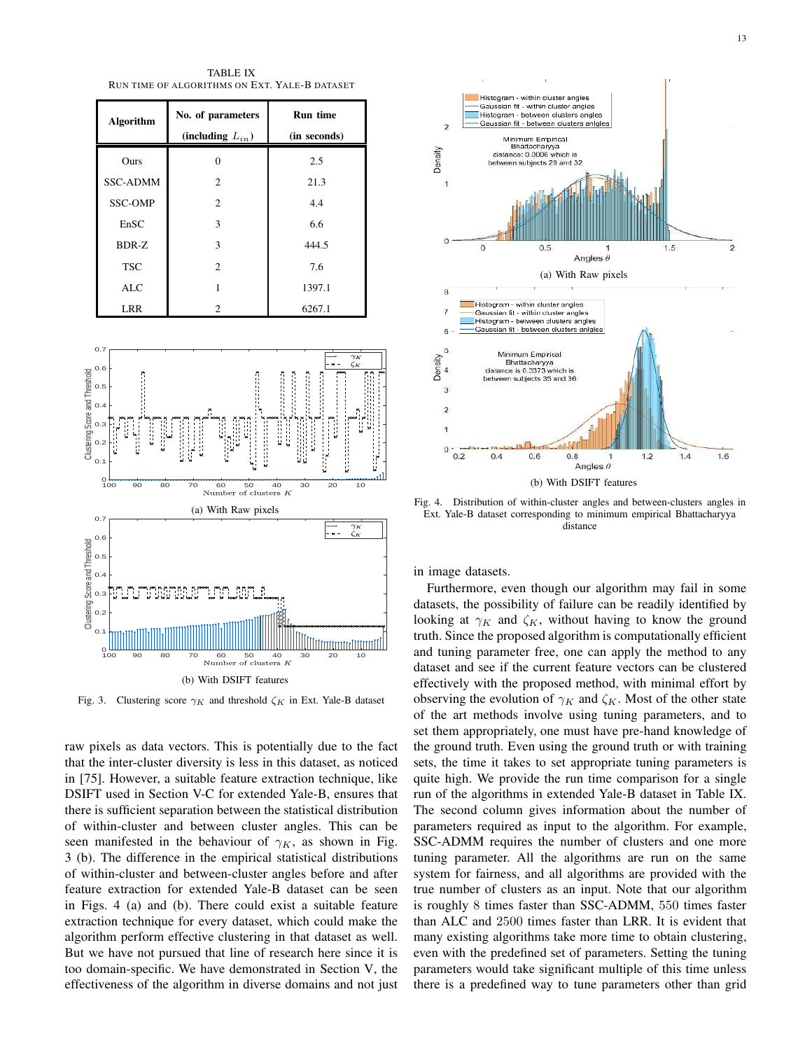TABLE IX RUN TIME OF ALGORITHMS ON EXT. YALE-B DATASET

| <b>Algorithm</b> | No. of parameters<br>(including $L_{in}$ ) | <b>Run time</b><br>(in seconds) |
|------------------|--------------------------------------------|---------------------------------|
| Ours             | 0                                          | 2.5                             |
| <b>SSC-ADMM</b>  | 2                                          | 21.3                            |
| <b>SSC-OMP</b>   | $\overline{c}$                             | 4.4                             |
| EnSC             | 3                                          | 6.6                             |
| BDR-Z            | 3                                          | 444.5                           |
| <b>TSC</b>       | $\overline{c}$                             | 7.6                             |
| <b>ALC</b>       |                                            | 1397.1                          |
| LRR              | 2                                          | 6267.1                          |



Fig. 3. Clustering score  $\gamma_K$  and threshold  $\zeta_K$  in Ext. Yale-B dataset

raw pixels as data vectors. This is potentially due to the fact that the inter-cluster diversity is less in this dataset, as noticed in [75]. However, a suitable feature extraction technique, like DSIFT used in Section V-C for extended Yale-B, ensures that there is sufficient separation between the statistical distribution of within-cluster and between cluster angles. This can be seen manifested in the behaviour of  $\gamma_K$ , as shown in Fig. 3 (b). The difference in the empirical statistical distributions of within-cluster and between-cluster angles before and after feature extraction for extended Yale-B dataset can be seen in Figs. 4 (a) and (b). There could exist a suitable feature extraction technique for every dataset, which could make the algorithm perform effective clustering in that dataset as well. But we have not pursued that line of research here since it is too domain-specific. We have demonstrated in Section V, the effectiveness of the algorithm in diverse domains and not just



Fig. 4. Distribution of within-cluster angles and between-clusters angles in Ext. Yale-B dataset corresponding to minimum empirical Bhattacharyya distance

in image datasets.

Furthermore, even though our algorithm may fail in some datasets, the possibility of failure can be readily identified by looking at  $\gamma_K$  and  $\zeta_K$ , without having to know the ground truth. Since the proposed algorithm is computationally efficient and tuning parameter free, one can apply the method to any dataset and see if the current feature vectors can be clustered effectively with the proposed method, with minimal effort by observing the evolution of  $\gamma_K$  and  $\zeta_K$ . Most of the other state of the art methods involve using tuning parameters, and to set them appropriately, one must have pre-hand knowledge of the ground truth. Even using the ground truth or with training sets, the time it takes to set appropriate tuning parameters is quite high. We provide the run time comparison for a single run of the algorithms in extended Yale-B dataset in Table IX. The second column gives information about the number of parameters required as input to the algorithm. For example, SSC-ADMM requires the number of clusters and one more tuning parameter. All the algorithms are run on the same system for fairness, and all algorithms are provided with the true number of clusters as an input. Note that our algorithm is roughly 8 times faster than SSC-ADMM, 550 times faster than ALC and 2500 times faster than LRR. It is evident that many existing algorithms take more time to obtain clustering, even with the predefined set of parameters. Setting the tuning parameters would take significant multiple of this time unless there is a predefined way to tune parameters other than grid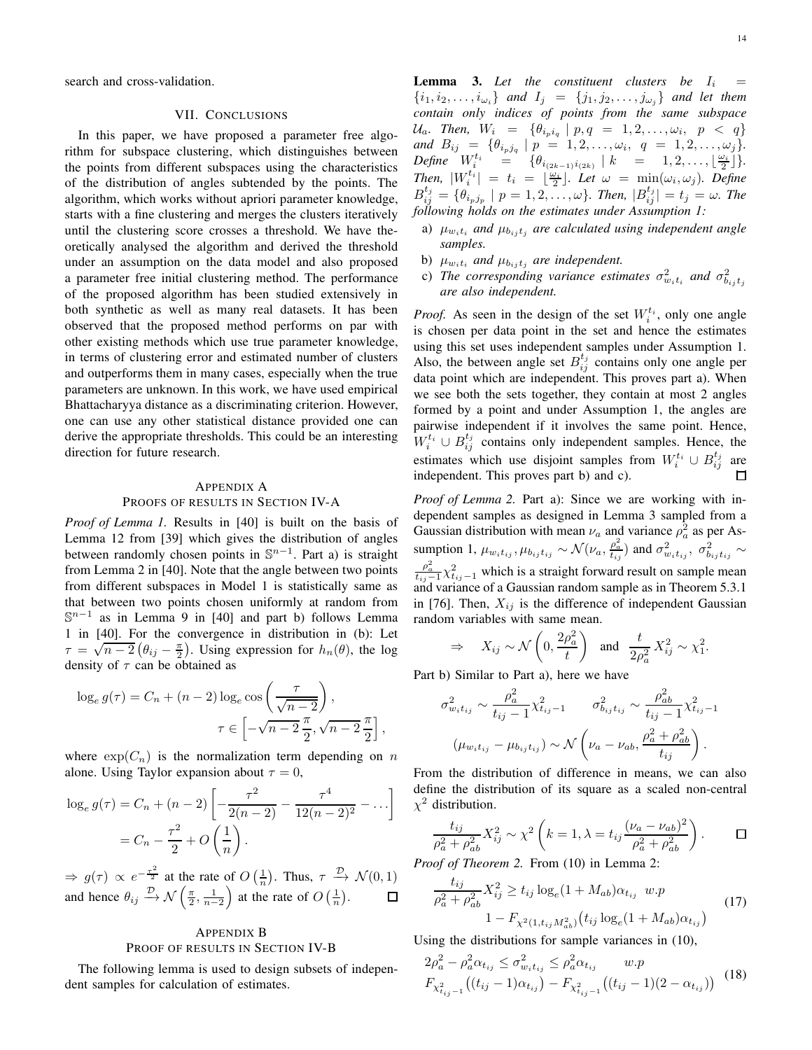search and cross-validation.

## VII. CONCLUSIONS

In this paper, we have proposed a parameter free algorithm for subspace clustering, which distinguishes between the points from different subspaces using the characteristics of the distribution of angles subtended by the points. The algorithm, which works without apriori parameter knowledge, starts with a fine clustering and merges the clusters iteratively until the clustering score crosses a threshold. We have theoretically analysed the algorithm and derived the threshold under an assumption on the data model and also proposed a parameter free initial clustering method. The performance of the proposed algorithm has been studied extensively in both synthetic as well as many real datasets. It has been observed that the proposed method performs on par with other existing methods which use true parameter knowledge, in terms of clustering error and estimated number of clusters and outperforms them in many cases, especially when the true parameters are unknown. In this work, we have used empirical Bhattacharyya distance as a discriminating criterion. However, one can use any other statistical distance provided one can derive the appropriate thresholds. This could be an interesting direction for future research.

## APPENDIX A PROOFS OF RESULTS IN SECTION IV-A

*Proof of Lemma 1.* Results in [40] is built on the basis of Lemma 12 from [39] which gives the distribution of angles between randomly chosen points in  $\mathbb{S}^{n-1}$ . Part a) is straight from Lemma 2 in [40]. Note that the angle between two points from different subspaces in Model 1 is statistically same as that between two points chosen uniformly at random from  $\mathbb{S}^{n-1}$  as in Lemma 9 in [40] and part b) follows Lemma 1 in [40]. For the convergence in distribution in (b): Let  $\tau = \sqrt{n-2} (\theta_{ij} - \frac{\pi}{2})$ . Using expression for  $h_n(\theta)$ , the log density of  $\tau$  can be obtained as

$$
\log_e g(\tau) = C_n + (n-2) \log_e \cos\left(\frac{\tau}{\sqrt{n-2}}\right),
$$

$$
\tau \in \left[-\sqrt{n-2} \frac{\pi}{2}, \sqrt{n-2} \frac{\pi}{2}\right],
$$

where  $\exp(C_n)$  is the normalization term depending on n alone. Using Taylor expansion about  $\tau = 0$ ,

$$
\log_e g(\tau) = C_n + (n-2) \left[ -\frac{\tau^2}{2(n-2)} - \frac{\tau^4}{12(n-2)^2} - \dots \right]
$$

$$
= C_n - \frac{\tau^2}{2} + O\left(\frac{1}{n}\right).
$$

 $\Rightarrow$   $g(\tau) \propto e^{-\frac{\tau^2}{2}}$  at the rate of  $O\left(\frac{1}{n}\right)$ . Thus,  $\tau \xrightarrow{\mathcal{D}} \mathcal{N}(0,1)$ and hence  $\theta_{ij} \stackrel{\mathcal{D}}{\longrightarrow} \mathcal{N}\left(\frac{\pi}{2}, \frac{1}{n-2}\right)$ ) at the rate of  $O\left(\frac{1}{n}\right)$ .

# APPENDIX B PROOF OF RESULTS IN SECTION IV-B

The following lemma is used to design subsets of independent samples for calculation of estimates.

**Lemma 3.** Let the constituent clusters be  $I_i$  =  $\{i_1, i_2, \ldots, i_{\omega_i}\}\$ and  $I_j = \{j_1, j_2, \ldots, j_{\omega_j}\}\$ and let them *contain only indices of points from the same subspace*  $U_a$ . Then,  $W_i = \{ \theta_{i_p i_q} \mid p, q = 1, 2, \ldots, \omega_i, p < q \}$  $and B_{ij} = \{\theta_{i_p j_q} \mid p = 1, 2, \ldots, \omega_i, q = 1, 2, \ldots, \omega_j\}.$  $Define \begin{cases} W_i^{t_i} = {\{0_{i_{(2k-1)}i_{(2k)}} | k = 1, 2, ..., \lfloor \frac{\omega_i}{2} \rfloor \}. \end{cases}$ *Then,*  $|W_i^{t_i}| = t_i = \left[\frac{\omega_i}{2}\right]$ . Let  $\omega = \min_i(\omega_i, \omega_j)$ . Define  $B_{ij}^{t_j} = \{\theta_{i_p j_p} \mid p = 1, 2, ..., \omega\}$ . Then,  $|B_{ij}^{t_j}| = t_j = \omega$ . The *following holds on the estimates under Assumption 1:*

- a)  $\mu_{w_i t_i}$  *and*  $\mu_{b_i t_j}$  *are calculated using independent angle samples.*
- b)  $\mu_{w_i t_i}$  *and*  $\mu_{b_i j t_j}$  *are independent.*
- c) The corresponding variance estimates  $\sigma_{w_i t_i}^2$  and  $\sigma_{b_i j t_j}^2$ *are also independent.*

*Proof.* As seen in the design of the set  $W_i^{t_i}$ , only one angle is chosen per data point in the set and hence the estimates using this set uses independent samples under Assumption 1. Also, the between angle set  $B_{ij}^{t_j}$  contains only one angle per data point which are independent. This proves part a). When we see both the sets together, they contain at most 2 angles formed by a point and under Assumption 1, the angles are pairwise independent if it involves the same point. Hence,  $W_i^{t_i} \cup B_{ij}^{t_j}$  contains only independent samples. Hence, the estimates which use disjoint samples from  $W_i^{t_i} \cup B_{ij}^{t_j}$  are independent. This proves part b) and c).

*Proof of Lemma 2.* Part a): Since we are working with independent samples as designed in Lemma 3 sampled from a Gaussian distribution with mean  $\nu_a$  and variance  $\rho_a^2$  as per Assumption 1,  $\mu_{w_i t_{ij}}, \mu_{b_{ij} t_{ij}} \sim \mathcal{N}(\nu_a, \frac{\rho_a^2}{t_{ij}})$  and  $\sigma_{w_i t_{ij}}^2$ ,  $\sigma_{b_{ij} t_{ij}}^2 \sim$  $\frac{\rho_a^2}{t_{ij}-1}\chi_{t_{ij}-1}^2$  which is a straight forward result on sample mean and variance of a Gaussian random sample as in Theorem 5.3.1 in [76]. Then,  $X_{ij}$  is the difference of independent Gaussian random variables with same mean.

$$
\Rightarrow X_{ij} \sim \mathcal{N}\left(0, \frac{2\rho_a^2}{t}\right) \text{ and } \frac{t}{2\rho_a^2} X_{ij}^2 \sim \chi_1^2.
$$

Part b) Similar to Part a), here we have

$$
\sigma_{w_i t_{ij}}^2 \sim \frac{\rho_a^2}{t_{ij} - 1} \chi_{t_{ij} - 1}^2 \qquad \sigma_{b_{ij} t_{ij}}^2 \sim \frac{\rho_{ab}^2}{t_{ij} - 1} \chi_{t_{ij} - 1}^2
$$

$$
(\mu_{w_i t_{ij}} - \mu_{b_{ij} t_{ij}}) \sim \mathcal{N}\left(\nu_a - \nu_{ab}, \frac{\rho_a^2 + \rho_{ab}^2}{t_{ij}}\right).
$$

From the distribution of difference in means, we can also define the distribution of its square as a scaled non-central  $\chi^2$  distribution.

$$
\frac{t_{ij}}{\rho_a^2 + \rho_{ab}^2} X_{ij}^2 \sim \chi^2 \left( k = 1, \lambda = t_{ij} \frac{(\nu_a - \nu_{ab})^2}{\rho_a^2 + \rho_{ab}^2} \right). \qquad \Box
$$

*Proof of Theorem 2.* From (10) in Lemma 2:

$$
\frac{t_{ij}}{\rho_a^2 + \rho_{ab}^2} X_{ij}^2 \ge t_{ij} \log_e (1 + M_{ab}) \alpha_{t_{ij}} \ w.p
$$
\n
$$
1 - F_{\chi^2(1, t_{ij} M_{ab}^2)}(t_{ij} \log_e (1 + M_{ab}) \alpha_{t_{ij}})
$$
\n(17)

Using the distributions for sample variances in (10),

$$
2\rho_a^2 - \rho_a^2 \alpha_{t_{ij}} \le \sigma_{w_i t_{ij}}^2 \le \rho_a^2 \alpha_{t_{ij}} \qquad w.p
$$
  

$$
F_{\chi_{t_{ij}-1}^2}((t_{ij}-1)\alpha_{t_{ij}}) - F_{\chi_{t_{ij}-1}^2}((t_{ij}-1)(2-\alpha_{t_{ij}}))
$$
 (18)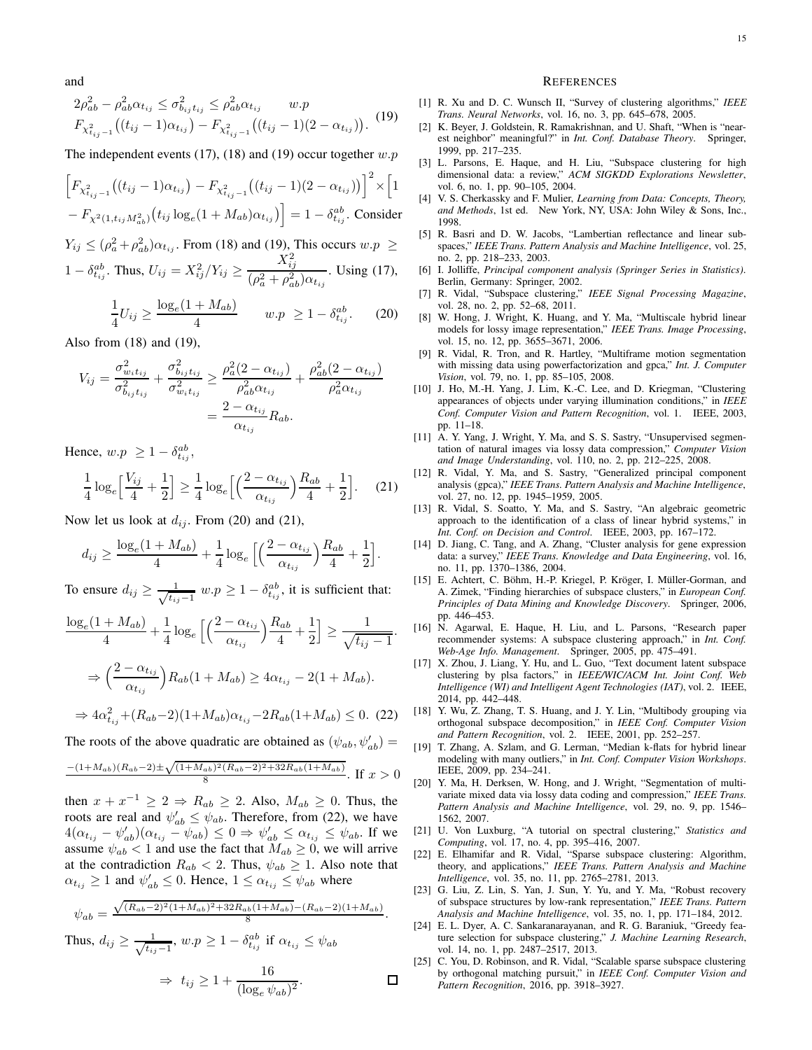and

$$
2\rho_{ab}^2 - \rho_{ab}^2 \alpha_{t_{ij}} \le \sigma_{b_{ij}t_{ij}}^2 \le \rho_{ab}^2 \alpha_{t_{ij}} \qquad w.p
$$
  

$$
F_{\chi_{t_{ij}-1}^2}((t_{ij}-1)\alpha_{t_{ij}}) - F_{\chi_{t_{ij}-1}^2}((t_{ij}-1)(2-\alpha_{t_{ij}})).
$$
 (19)

The independent events (17), (18) and (19) occur together  $w.p$ 

$$
\[F_{\chi_{t_{ij}-1}^{2}}((t_{ij}-1)\alpha_{t_{ij}}) - F_{\chi_{t_{ij}-1}^{2}}((t_{ij}-1)(2-\alpha_{t_{ij}}))\]^{2} \times \[1 - F_{\chi^{2}(1,t_{ij}M_{ab}^{2})}(t_{ij}\log_{e}(1+M_{ab})\alpha_{t_{ij}})\] = 1 - \delta_{t_{ij}}^{ab}.\text{ Consider}
$$

 $Y_{ij} \leq (\rho_a^2 + \rho_{ab}^2)\alpha_{t_{ij}}$ . From (18) and (19), This occurs  $w.p \geq$ 1 –  $\delta_{t_{ij}}^{ab}$ . Thus,  $U_{ij} = X_{ij}^2/Y_{ij} \geq$  $X^2_{ij}$  $\frac{y}{(\rho_a^2 + \rho_{ab}^2)\alpha_{t_{ij}}}$ . Using (17),

$$
\frac{1}{4}U_{ij} \ge \frac{\log_e(1 + M_{ab})}{4} \qquad w.p \ge 1 - \delta_{t_{ij}}^{ab}.\tag{20}
$$

Also from (18) and (19),

$$
V_{ij} = \frac{\sigma_{w_i t_{ij}}^2}{\sigma_{b_{ij} t_{ij}}^2} + \frac{\sigma_{b_{ij} t_{ij}}^2}{\sigma_{w_i t_{ij}}^2} \ge \frac{\rho_a^2 (2 - \alpha_{t_{ij}})}{\rho_{ab}^2 \alpha_{t_{ij}}} + \frac{\rho_{ab}^2 (2 - \alpha_{t_{ij}})}{\rho_a^2 \alpha_{t_{ij}}} \\
= \frac{2 - \alpha_{t_{ij}}}{\alpha_{t_{ij}}} R_{ab}.
$$

Hence,  $w.p \geq 1 - \delta_{t_{ij}}^{ab}$ ,

$$
\frac{1}{4}\log_e\left[\frac{V_{ij}}{4} + \frac{1}{2}\right] \ge \frac{1}{4}\log_e\left[\left(\frac{2 - \alpha_{t_{ij}}}{\alpha_{t_{ij}}}\right)\frac{R_{ab}}{4} + \frac{1}{2}\right].
$$
 (21)

Now let us look at  $d_{ij}$ . From (20) and (21),

$$
d_{ij} \ge \frac{\log_e(1 + M_{ab})}{4} + \frac{1}{4}\log_e\left[\left(\frac{2 - \alpha_{t_{ij}}}{\alpha_{t_{ij}}}\right)\frac{R_{ab}}{4} + \frac{1}{2}\right].
$$

To ensure  $d_{ij} \geq \frac{1}{\sqrt{t_{ij}}}$  $\frac{1}{t_{ij}-1}$   $w.p \ge 1 - \delta_{t_{ij}}^{ab}$ , it is sufficient that:

$$
\frac{\log_e(1+M_{ab})}{4} + \frac{1}{4}\log_e\left[\left(\frac{2-\alpha_{t_{ij}}}{\alpha_{t_{ij}}}\right)\frac{R_{ab}}{4} + \frac{1}{2}\right] \ge \frac{1}{\sqrt{t_{ij}-1}}.
$$

$$
\Rightarrow \left(\frac{2-\alpha_{t_{ij}}}{\alpha_{t_{ij}}}\right)R_{ab}(1+M_{ab}) \ge 4\alpha_{t_{ij}} - 2(1+M_{ab}).
$$

$$
\Rightarrow 4\alpha_{t_{ij}}^2 + (R_{ab} - 2)(1 + M_{ab})\alpha_{t_{ij}} - 2R_{ab}(1 + M_{ab}) \le 0. \tag{22}
$$

The roots of the above quadratic are obtained as  $(\psi_{ab}, \psi'_{ab}) =$ 

$$
\tfrac{-(1+M_{ab})(R_{ab}-2)\pm\sqrt{(1+M_{ab})^2(R_{ab}-2)^2+32R_{ab}(1+M_{ab})}}{8}.
$$
 If  $x>0$ 

then  $x + x^{-1} \ge 2 \Rightarrow R_{ab} \ge 2$ . Also,  $M_{ab} \ge 0$ . Thus, the roots are real and  $\psi'_{ab} \leq \psi_{ab}$ . Therefore, from (22), we have  $4(\alpha_{t_{ij}} - \psi'_{ab})(\alpha_{t_{ij}} - \psi_{ab}) \leq 0 \Rightarrow \psi'_{ab} \leq \alpha_{t_{ij}} \leq \psi_{ab}$ . If we assume  $\psi_{ab}$  < 1 and use the fact that  $M_{ab} \geq 0$ , we will arrive at the contradiction  $R_{ab} < 2$ . Thus,  $\psi_{ab} \geq 1$ . Also note that  $\alpha_{t_{ij}} \ge 1$  and  $\psi'_{ab} \le 0$ . Hence,  $1 \le \alpha_{t_{ij}} \le \psi_{ab}$  where

$$
\psi_{ab} = \frac{\sqrt{(R_{ab}-2)^2(1+M_{ab})^2+32R_{ab}(1+M_{ab})}-(R_{ab}-2)(1+M_{ab})}}{8}.
$$

Thus,  $d_{ij} \geq \frac{1}{\sqrt{t_{ij}}}$  $\frac{1}{t_{ij}-1}$ ,  $w.p \ge 1 - \delta_{t_{ij}}^{ab}$  if  $\alpha_{t_{ij}} \le \psi_{ab}$ 

$$
\Rightarrow t_{ij} \ge 1 + \frac{16}{(\log_e \psi_{ab})^2}.
$$

#### **REFERENCES**

- [1] R. Xu and D. C. Wunsch II, "Survey of clustering algorithms," *IEEE Trans. Neural Networks*, vol. 16, no. 3, pp. 645–678, 2005.
- [2] K. Beyer, J. Goldstein, R. Ramakrishnan, and U. Shaft, "When is "nearest neighbor" meaningful?" in *Int. Conf. Database Theory*. Springer, 1999, pp. 217–235.
- [3] L. Parsons, E. Haque, and H. Liu, "Subspace clustering for high dimensional data: a review," *ACM SIGKDD Explorations Newsletter*, vol. 6, no. 1, pp. 90–105, 2004.
- [4] V. S. Cherkassky and F. Mulier, *Learning from Data: Concepts, Theory, and Methods*, 1st ed. New York, NY, USA: John Wiley & Sons, Inc., 1998.
- [5] R. Basri and D. W. Jacobs, "Lambertian reflectance and linear subspaces," *IEEE Trans. Pattern Analysis and Machine Intelligence*, vol. 25, no. 2, pp. 218–233, 2003.
- [6] I. Jolliffe, *Principal component analysis (Springer Series in Statistics)*. Berlin, Germany: Springer, 2002.
- [7] R. Vidal, "Subspace clustering," *IEEE Signal Processing Magazine*, vol. 28, no. 2, pp. 52–68, 2011.
- [8] W. Hong, J. Wright, K. Huang, and Y. Ma, "Multiscale hybrid linear models for lossy image representation," *IEEE Trans. Image Processing*, vol. 15, no. 12, pp. 3655–3671, 2006.
- [9] R. Vidal, R. Tron, and R. Hartley, "Multiframe motion segmentation with missing data using powerfactorization and gpca," *Int. J. Computer Vision*, vol. 79, no. 1, pp. 85–105, 2008.
- [10] J. Ho, M.-H. Yang, J. Lim, K.-C. Lee, and D. Kriegman, "Clustering appearances of objects under varying illumination conditions," in *IEEE Conf. Computer Vision and Pattern Recognition*, vol. 1. IEEE, 2003, pp. 11–18.
- [11] A. Y. Yang, J. Wright, Y. Ma, and S. S. Sastry, "Unsupervised segmentation of natural images via lossy data compression," *Computer Vision and Image Understanding*, vol. 110, no. 2, pp. 212–225, 2008.
- [12] R. Vidal, Y. Ma, and S. Sastry, "Generalized principal component analysis (gpca)," *IEEE Trans. Pattern Analysis and Machine Intelligence*, vol. 27, no. 12, pp. 1945–1959, 2005.
- [13] R. Vidal, S. Soatto, Y. Ma, and S. Sastry, "An algebraic geometric approach to the identification of a class of linear hybrid systems," in *Int. Conf. on Decision and Control*. IEEE, 2003, pp. 167–172.
- [14] D. Jiang, C. Tang, and A. Zhang, "Cluster analysis for gene expression data: a survey," *IEEE Trans. Knowledge and Data Engineering*, vol. 16, no. 11, pp. 1370–1386, 2004.
- [15] E. Achtert, C. Böhm, H.-P. Kriegel, P. Kröger, I. Müller-Gorman, and A. Zimek, "Finding hierarchies of subspace clusters," in *European Conf. Principles of Data Mining and Knowledge Discovery*. Springer, 2006, pp. 446–453.
- [16] N. Agarwal, E. Haque, H. Liu, and L. Parsons, "Research paper recommender systems: A subspace clustering approach," in *Int. Conf. Web-Age Info. Management*. Springer, 2005, pp. 475–491.
- [17] X. Zhou, J. Liang, Y. Hu, and L. Guo, "Text document latent subspace clustering by plsa factors," in *IEEE/WIC/ACM Int. Joint Conf. Web Intelligence (WI) and Intelligent Agent Technologies (IAT)*, vol. 2. IEEE, 2014, pp. 442–448.
- [18] Y. Wu, Z. Zhang, T. S. Huang, and J. Y. Lin, "Multibody grouping via orthogonal subspace decomposition," in *IEEE Conf. Computer Vision and Pattern Recognition*, vol. 2. IEEE, 2001, pp. 252–257.
- [19] T. Zhang, A. Szlam, and G. Lerman, "Median k-flats for hybrid linear modeling with many outliers," in *Int. Conf. Computer Vision Workshops*. IEEE, 2009, pp. 234–241.
- [20] Y. Ma, H. Derksen, W. Hong, and J. Wright, "Segmentation of multivariate mixed data via lossy data coding and compression," *IEEE Trans. Pattern Analysis and Machine Intelligence*, vol. 29, no. 9, pp. 1546– 1562, 2007.
- [21] U. Von Luxburg, "A tutorial on spectral clustering," *Statistics and Computing*, vol. 17, no. 4, pp. 395–416, 2007.
- [22] E. Elhamifar and R. Vidal, "Sparse subspace clustering: Algorithm, theory, and applications," *IEEE Trans. Pattern Analysis and Machine Intelligence*, vol. 35, no. 11, pp. 2765–2781, 2013.
- [23] G. Liu, Z. Lin, S. Yan, J. Sun, Y. Yu, and Y. Ma, "Robust recovery of subspace structures by low-rank representation," *IEEE Trans. Pattern Analysis and Machine Intelligence*, vol. 35, no. 1, pp. 171–184, 2012.
- [24] E. L. Dyer, A. C. Sankaranarayanan, and R. G. Baraniuk, "Greedy feature selection for subspace clustering," *J. Machine Learning Research*, vol. 14, no. 1, pp. 2487–2517, 2013.
- [25] C. You, D. Robinson, and R. Vidal, "Scalable sparse subspace clustering by orthogonal matching pursuit," in *IEEE Conf. Computer Vision and Pattern Recognition*, 2016, pp. 3918–3927.